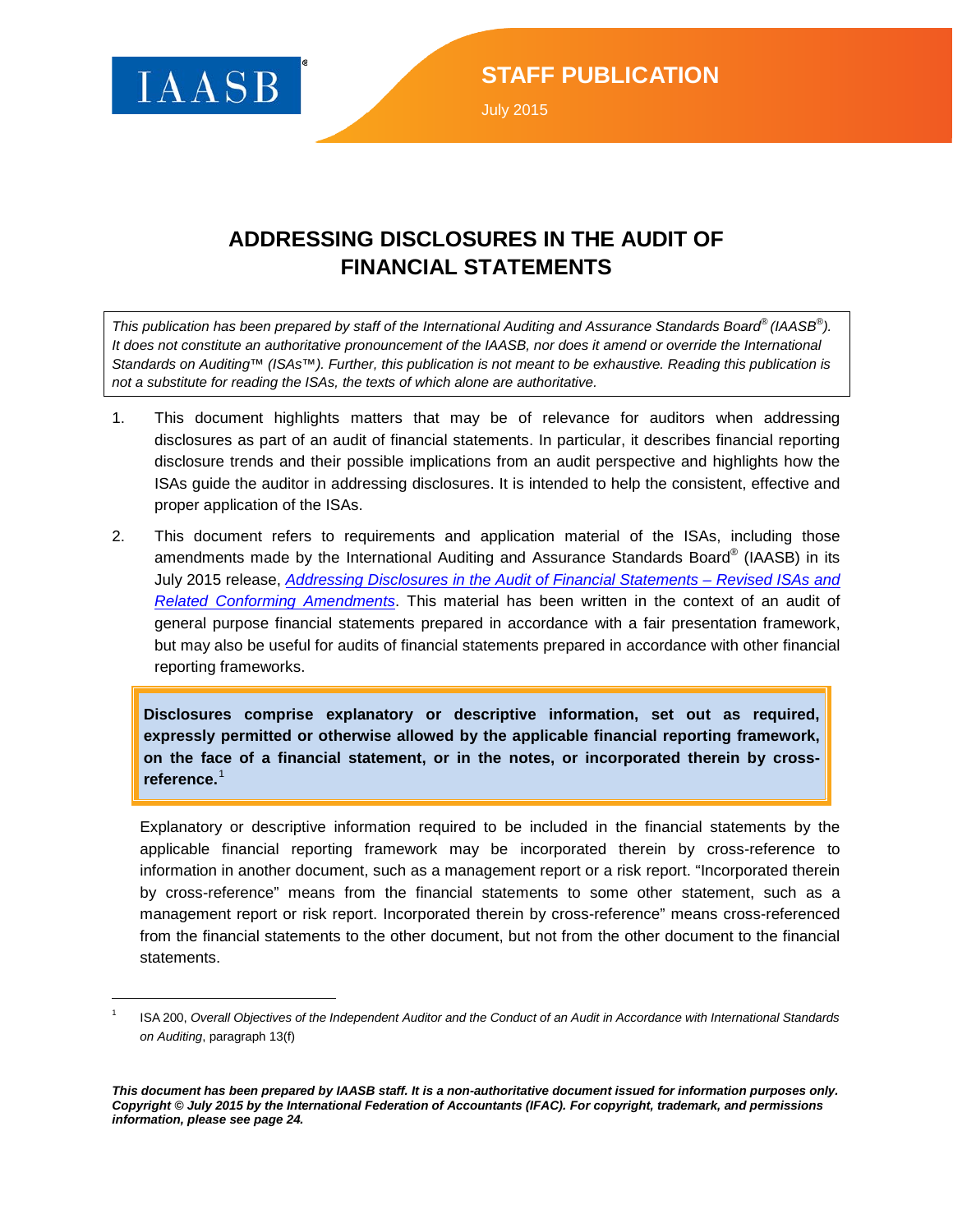

l

### **ADDRESSING DISCLOSURES IN THE AUDIT OF FINANCIAL STATEMENTS**

*This publication has been prepared by staff of the International Auditing and Assurance Standards Board® (IAASB® ). It does not constitute an authoritative pronouncement of the IAASB, nor does it amend or override the International Standards on Auditing™ (ISAs™). Further, this publication is not meant to be exhaustive. Reading this publication is not a substitute for reading the ISAs, the texts of which alone are authoritative.*

- 1. This document highlights matters that may be of relevance for auditors when addressing disclosures as part of an audit of financial statements. In particular, it describes financial reporting disclosure trends and their possible implications from an audit perspective and highlights how the ISAs guide the auditor in addressing disclosures. It is intended to help the consistent, effective and proper application of the ISAs.
- 2. This document refers to requirements and application material of the ISAs, including those amendments made by the International Auditing and Assurance Standards Board® (IAASB) in its July 2015 release, *[Addressing Disclosures in the Audit of Financial Statements –](http://www.ifac.org/news-events/2015-07/iaasb-finalizes-amendments-auditing-standards-promote-greater-focus-financial) Revised ISAs and [Related Conforming Amendments](http://www.ifac.org/news-events/2015-07/iaasb-finalizes-amendments-auditing-standards-promote-greater-focus-financial)*. This material has been written in the context of an audit of general purpose financial statements prepared in accordance with a fair presentation framework, but may also be useful for audits of financial statements prepared in accordance with other financial reporting frameworks.

**Disclosures comprise explanatory or descriptive information, set out as required, expressly permitted or otherwise allowed by the applicable financial reporting framework, on the face of a financial statement, or in the notes, or incorporated therein by crossreference.**[1](#page-0-0)

Explanatory or descriptive information required to be included in the financial statements by the applicable financial reporting framework may be incorporated therein by cross-reference to information in another document, such as a management report or a risk report. "Incorporated therein by cross-reference" means from the financial statements to some other statement, such as a management report or risk report. Incorporated therein by cross-reference" means cross-referenced from the financial statements to the other document, but not from the other document to the financial statements.

<span id="page-0-0"></span><sup>1</sup> ISA 200, *Overall Objectives of the Independent Auditor and the Conduct of an Audit in Accordance with International Standards on Auditing*, paragraph 13(f)

*This document has been prepared by IAASB staff. It is a non-authoritative document issued for information purposes only. Copyright © July 2015 by the International Federation of Accountants (IFAC). For copyright, trademark, and permissions information, please see page 24.*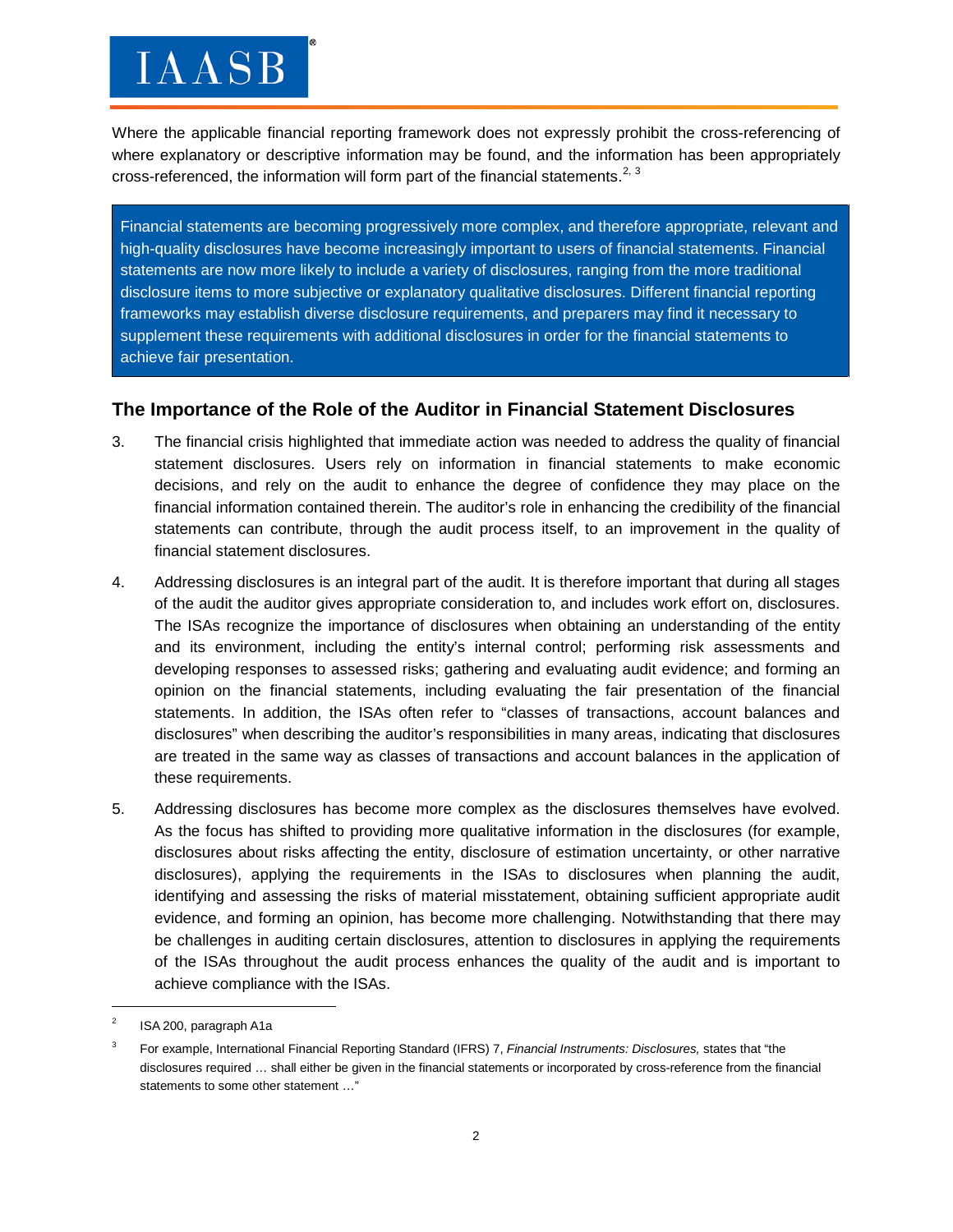Where the applicable financial reporting framework does not expressly prohibit the cross-referencing of where explanatory or descriptive information may be found, and the information has been appropriately cross-referenced, the information will form part of the financial statements.<sup>[2](#page-1-0), [3](#page-1-1)</sup>

Financial statements are becoming progressively more complex, and therefore appropriate, relevant and high-quality disclosures have become increasingly important to users of financial statements. Financial statements are now more likely to include a variety of disclosures, ranging from the more traditional disclosure items to more subjective or explanatory qualitative disclosures. Different financial reporting frameworks may establish diverse disclosure requirements, and preparers may find it necessary to supplement these requirements with additional disclosures in order for the financial statements to achieve fair presentation.

#### **The Importance of the Role of the Auditor in Financial Statement Disclosures**

- 3. The financial crisis highlighted that immediate action was needed to address the quality of financial statement disclosures. Users rely on information in financial statements to make economic decisions, and rely on the audit to enhance the degree of confidence they may place on the financial information contained therein. The auditor's role in enhancing the credibility of the financial statements can contribute, through the audit process itself, to an improvement in the quality of financial statement disclosures.
- 4. Addressing disclosures is an integral part of the audit. It is therefore important that during all stages of the audit the auditor gives appropriate consideration to, and includes work effort on, disclosures. The ISAs recognize the importance of disclosures when obtaining an understanding of the entity and its environment, including the entity's internal control; performing risk assessments and developing responses to assessed risks; gathering and evaluating audit evidence; and forming an opinion on the financial statements, including evaluating the fair presentation of the financial statements. In addition, the ISAs often refer to "classes of transactions, account balances and disclosures" when describing the auditor's responsibilities in many areas, indicating that disclosures are treated in the same way as classes of transactions and account balances in the application of these requirements.
- 5. Addressing disclosures has become more complex as the disclosures themselves have evolved. As the focus has shifted to providing more qualitative information in the disclosures (for example, disclosures about risks affecting the entity, disclosure of estimation uncertainty, or other narrative disclosures), applying the requirements in the ISAs to disclosures when planning the audit, identifying and assessing the risks of material misstatement, obtaining sufficient appropriate audit evidence, and forming an opinion, has become more challenging. Notwithstanding that there may be challenges in auditing certain disclosures, attention to disclosures in applying the requirements of the ISAs throughout the audit process enhances the quality of the audit and is important to achieve compliance with the ISAs.

<span id="page-1-0"></span><sup>2</sup> ISA 200, paragraph A1a

<span id="page-1-1"></span><sup>3</sup> For example, International Financial Reporting Standard (IFRS) 7, *Financial Instruments: Disclosures,* states that "the disclosures required … shall either be given in the financial statements or incorporated by cross-reference from the financial statements to some other statement …"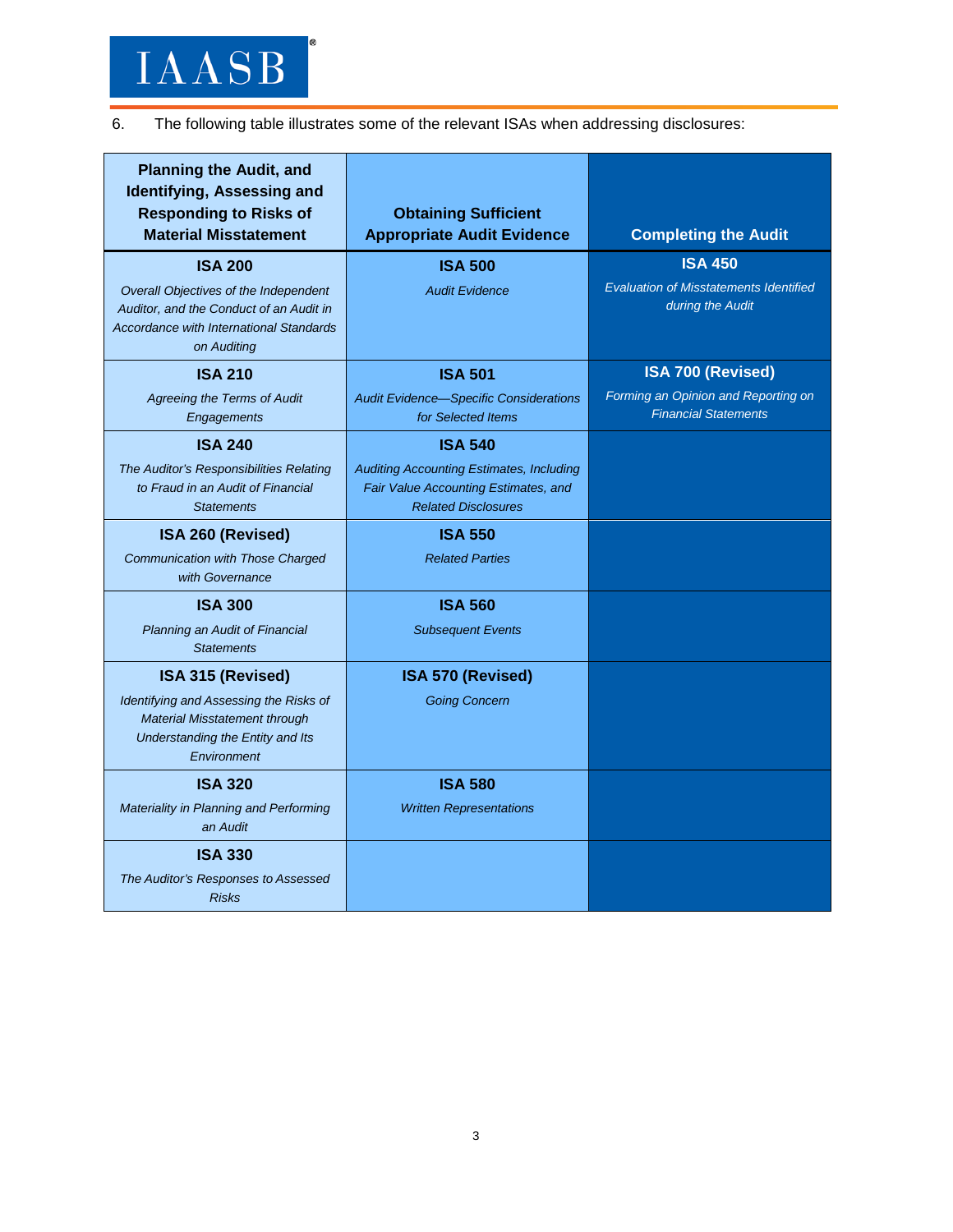6. The following table illustrates some of the relevant ISAs when addressing disclosures:

| <b>Planning the Audit, and</b><br>Identifying, Assessing and<br><b>Responding to Risks of</b><br><b>Material Misstatement</b> | <b>Obtaining Sufficient</b><br><b>Appropriate Audit Evidence</b>                                                      | <b>Completing the Audit</b>                                                         |
|-------------------------------------------------------------------------------------------------------------------------------|-----------------------------------------------------------------------------------------------------------------------|-------------------------------------------------------------------------------------|
| <b>ISA 200</b><br>Overall Objectives of the Independent<br>Auditor, and the Conduct of an Audit in                            | <b>ISA 500</b><br><b>Audit Evidence</b>                                                                               | <b>ISA 450</b><br><b>Evaluation of Misstatements Identified</b><br>during the Audit |
| <b>Accordance with International Standards</b><br>on Auditing                                                                 |                                                                                                                       |                                                                                     |
| <b>ISA 210</b>                                                                                                                | <b>ISA 501</b>                                                                                                        | <b>ISA 700 (Revised)</b>                                                            |
| Agreeing the Terms of Audit<br>Engagements                                                                                    | <b>Audit Evidence-Specific Considerations</b><br>for Selected Items                                                   | Forming an Opinion and Reporting on<br><b>Financial Statements</b>                  |
| <b>ISA 240</b>                                                                                                                | <b>ISA 540</b>                                                                                                        |                                                                                     |
| The Auditor's Responsibilities Relating<br>to Fraud in an Audit of Financial<br><b>Statements</b>                             | <b>Auditing Accounting Estimates, Including</b><br>Fair Value Accounting Estimates, and<br><b>Related Disclosures</b> |                                                                                     |
| ISA 260 (Revised)                                                                                                             | <b>ISA 550</b>                                                                                                        |                                                                                     |
| Communication with Those Charged<br>with Governance                                                                           | <b>Related Parties</b>                                                                                                |                                                                                     |
| <b>ISA 300</b>                                                                                                                | <b>ISA 560</b>                                                                                                        |                                                                                     |
| Planning an Audit of Financial<br><b>Statements</b>                                                                           | <b>Subsequent Events</b>                                                                                              |                                                                                     |
| ISA 315 (Revised)                                                                                                             | ISA 570 (Revised)                                                                                                     |                                                                                     |
| Identifying and Assessing the Risks of<br>Material Misstatement through<br>Understanding the Entity and Its<br>Environment    | <b>Going Concern</b>                                                                                                  |                                                                                     |
| <b>ISA 320</b>                                                                                                                | <b>ISA 580</b>                                                                                                        |                                                                                     |
| Materiality in Planning and Performing<br>an Audit                                                                            | <b>Written Representations</b>                                                                                        |                                                                                     |
| <b>ISA 330</b>                                                                                                                |                                                                                                                       |                                                                                     |
| The Auditor's Responses to Assessed<br><b>Risks</b>                                                                           |                                                                                                                       |                                                                                     |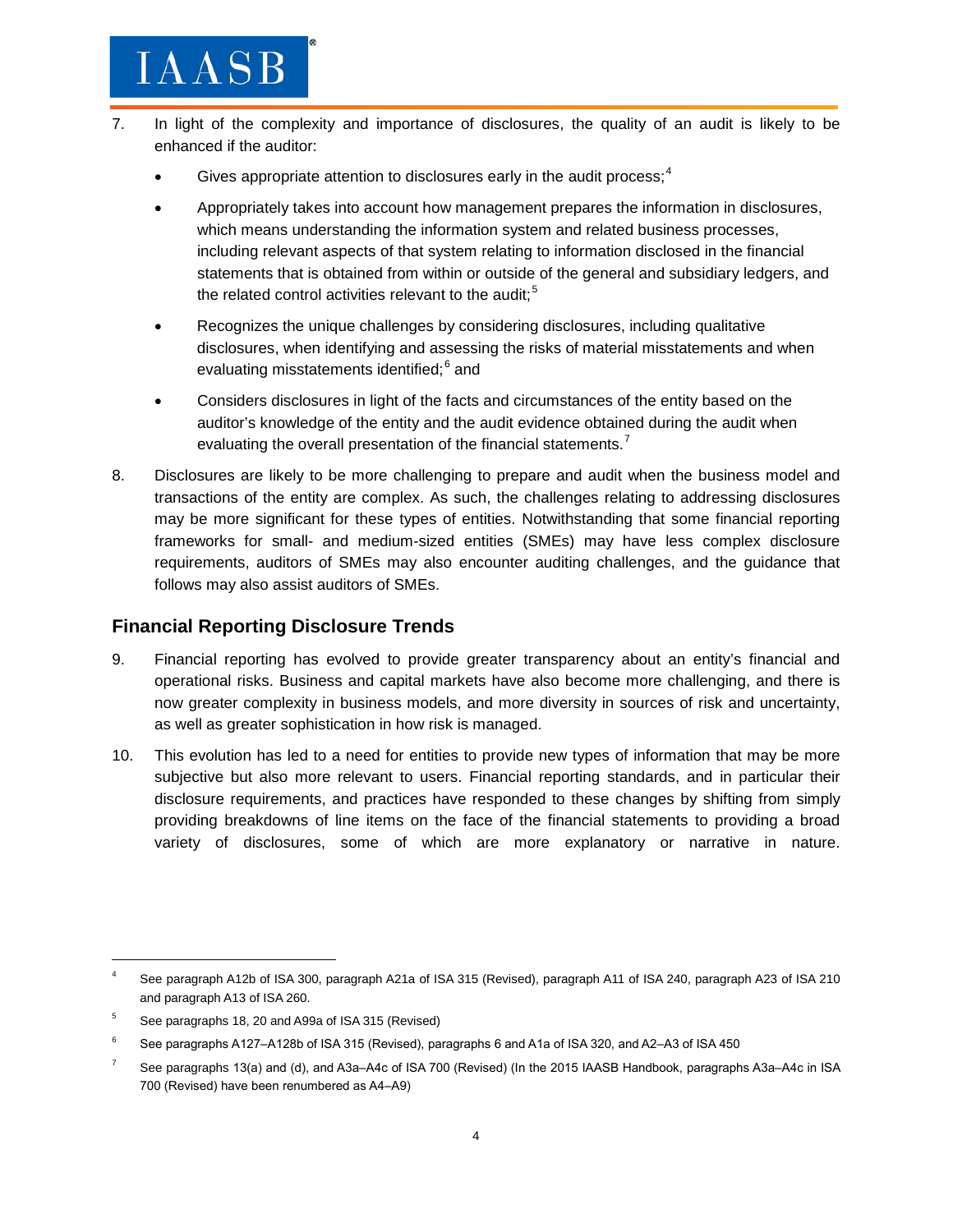### $I{\bf A} {\bf A} {\bf S} {\bf B}$

- 7. In light of the complexity and importance of disclosures, the quality of an audit is likely to be enhanced if the auditor:
	- Gives appropriate attention to disclosures early in the audit process; $<sup>4</sup>$  $<sup>4</sup>$  $<sup>4</sup>$ </sup>
	- Appropriately takes into account how management prepares the information in disclosures, which means understanding the information system and related business processes, including relevant aspects of that system relating to information disclosed in the financial statements that is obtained from within or outside of the general and subsidiary ledgers, and the related control activities relevant to the audit;<sup>[5](#page-3-1)</sup>
	- Recognizes the unique challenges by considering disclosures, including qualitative disclosures, when identifying and assessing the risks of material misstatements and when evaluating misstatements identified;<sup>[6](#page-3-2)</sup> and
	- Considers disclosures in light of the facts and circumstances of the entity based on the auditor's knowledge of the entity and the audit evidence obtained during the audit when evaluating the overall presentation of the financial statements.<sup>[7](#page-3-3)</sup>
- 8. Disclosures are likely to be more challenging to prepare and audit when the business model and transactions of the entity are complex. As such, the challenges relating to addressing disclosures may be more significant for these types of entities. Notwithstanding that some financial reporting frameworks for small- and medium-sized entities (SMEs) may have less complex disclosure requirements, auditors of SMEs may also encounter auditing challenges, and the guidance that follows may also assist auditors of SMEs.

### **Financial Reporting Disclosure Trends**

- 9. Financial reporting has evolved to provide greater transparency about an entity's financial and operational risks. Business and capital markets have also become more challenging, and there is now greater complexity in business models, and more diversity in sources of risk and uncertainty, as well as greater sophistication in how risk is managed.
- 10. This evolution has led to a need for entities to provide new types of information that may be more subjective but also more relevant to users. Financial reporting standards, and in particular their disclosure requirements, and practices have responded to these changes by shifting from simply providing breakdowns of line items on the face of the financial statements to providing a broad variety of disclosures, some of which are more explanatory or narrative in nature.

<span id="page-3-0"></span>See paragraph A12b of ISA 300, paragraph A21a of ISA 315 (Revised), paragraph A11 of ISA 240, paragraph A23 of ISA 210 and paragraph A13 of ISA 260.

<span id="page-3-1"></span><sup>5</sup> See paragraphs 18, 20 and A99a of ISA 315 (Revised)

<span id="page-3-2"></span><sup>6</sup> See paragraphs A127‒A128b of ISA 315 (Revised), paragraphs 6 and A1a of ISA 320, and A2‒A3 of ISA 450

<span id="page-3-3"></span>See paragraphs 13(a) and (d), and A3a–A4c of ISA 700 (Revised) (In the 2015 IAASB Handbook, paragraphs A3a–A4c in ISA 700 (Revised) have been renumbered as A4-A9)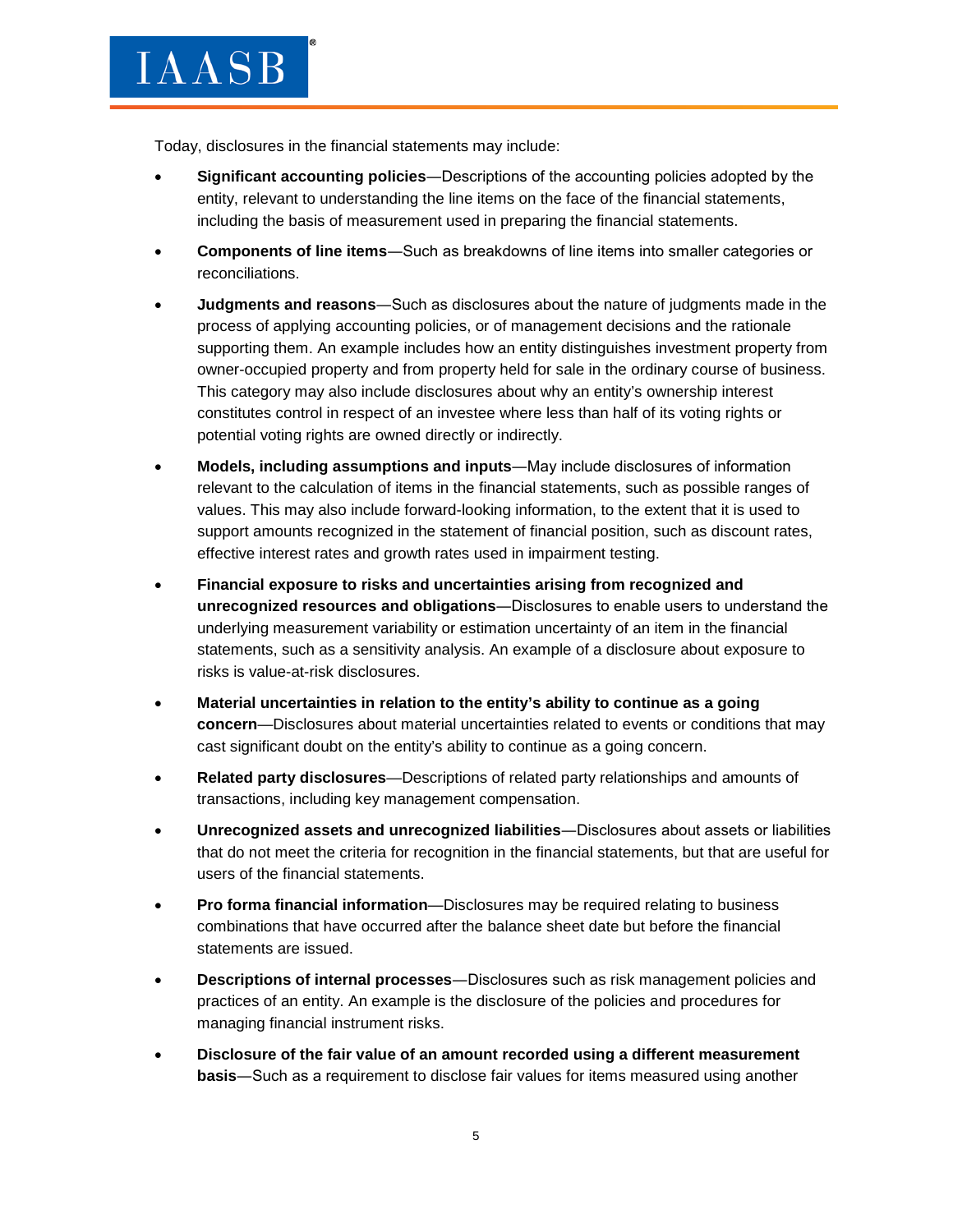Today, disclosures in the financial statements may include:

- **Significant accounting policies**―Descriptions of the accounting policies adopted by the entity, relevant to understanding the line items on the face of the financial statements, including the basis of measurement used in preparing the financial statements.
- **Components of line items**―Such as breakdowns of line items into smaller categories or reconciliations.
- **Judgments and reasons**―Such as disclosures about the nature of judgments made in the process of applying accounting policies, or of management decisions and the rationale supporting them. An example includes how an entity distinguishes investment property from owner-occupied property and from property held for sale in the ordinary course of business. This category may also include disclosures about why an entity's ownership interest constitutes control in respect of an investee where less than half of its voting rights or potential voting rights are owned directly or indirectly.
- **Models, including assumptions and inputs**―May include disclosures of information relevant to the calculation of items in the financial statements, such as possible ranges of values. This may also include forward-looking information, to the extent that it is used to support amounts recognized in the statement of financial position, such as discount rates, effective interest rates and growth rates used in impairment testing.
- **Financial exposure to risks and uncertainties arising from recognized and unrecognized resources and obligations**―Disclosures to enable users to understand the underlying measurement variability or estimation uncertainty of an item in the financial statements, such as a sensitivity analysis. An example of a disclosure about exposure to risks is value-at-risk disclosures.
- **Material uncertainties in relation to the entity's ability to continue as a going concern**—Disclosures about material uncertainties related to events or conditions that may cast significant doubt on the entity's ability to continue as a going concern.
- **Related party disclosures**—Descriptions of related party relationships and amounts of transactions, including key management compensation.
- **Unrecognized assets and unrecognized liabilities**―Disclosures about assets or liabilities that do not meet the criteria for recognition in the financial statements, but that are useful for users of the financial statements.
- **Pro forma financial information**—Disclosures may be required relating to business combinations that have occurred after the balance sheet date but before the financial statements are issued.
- **Descriptions of internal processes**―Disclosures such as risk management policies and practices of an entity. An example is the disclosure of the policies and procedures for managing financial instrument risks.
- **Disclosure of the fair value of an amount recorded using a different measurement basis**―Such as a requirement to disclose fair values for items measured using another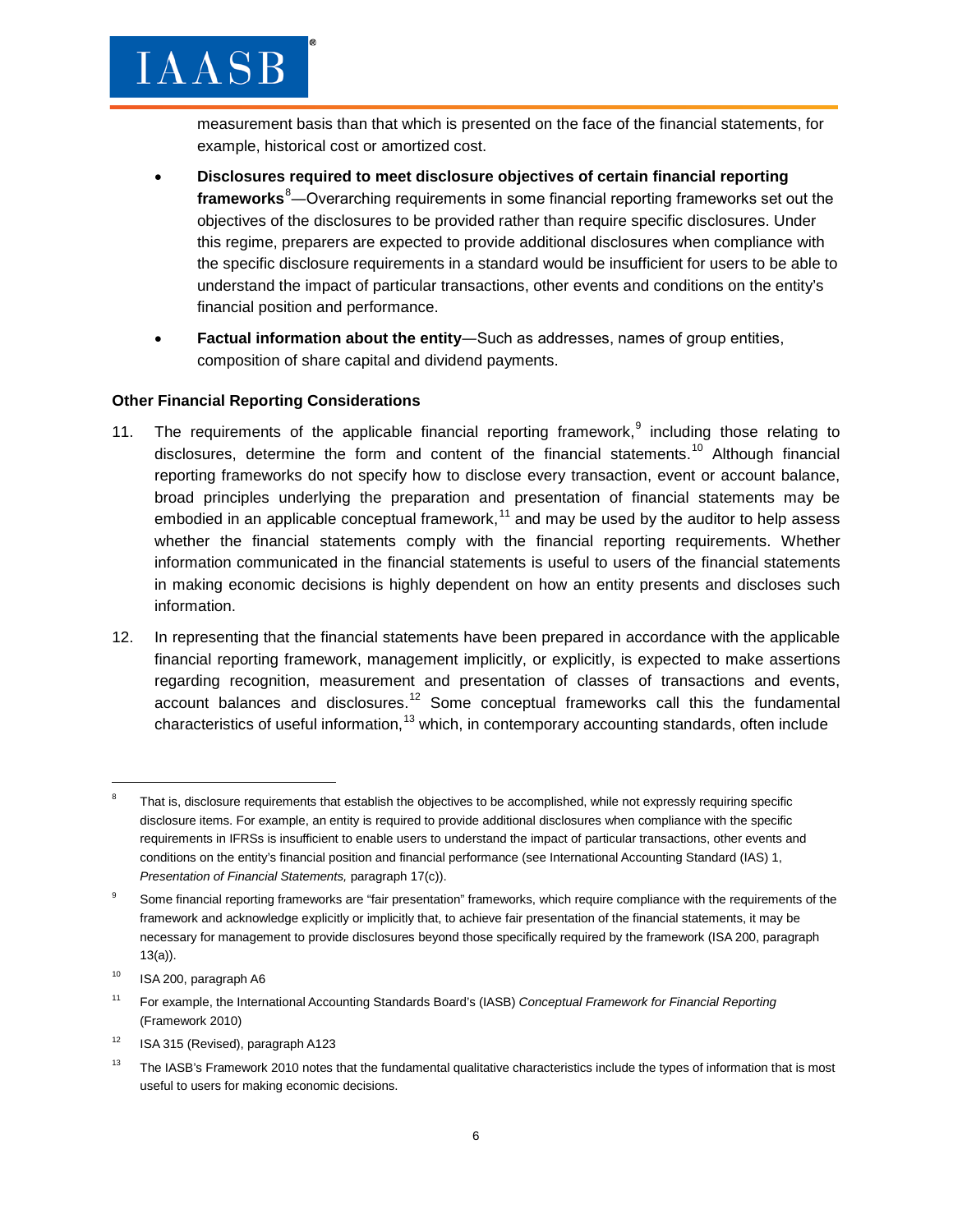measurement basis than that which is presented on the face of the financial statements, for example, historical cost or amortized cost.

- **Disclosures required to meet disclosure objectives of certain financial reporting frameworks**[8](#page-5-0) ―Overarching requirements in some financial reporting frameworks set out the objectives of the disclosures to be provided rather than require specific disclosures. Under this regime, preparers are expected to provide additional disclosures when compliance with the specific disclosure requirements in a standard would be insufficient for users to be able to understand the impact of particular transactions, other events and conditions on the entity's financial position and performance.
- **Factual information about the entity**―Such as addresses, names of group entities, composition of share capital and dividend payments.

#### **Other Financial Reporting Considerations**

 $IAASB$ 

- 11. The requirements of the applicable financial reporting framework,<sup>[9](#page-5-1)</sup> including those relating to disclosures, determine the form and content of the financial statements.<sup>[10](#page-5-2)</sup> Although financial reporting frameworks do not specify how to disclose every transaction, event or account balance, broad principles underlying the preparation and presentation of financial statements may be embodied in an applicable conceptual framework, $11$  and may be used by the auditor to help assess whether the financial statements comply with the financial reporting requirements. Whether information communicated in the financial statements is useful to users of the financial statements in making economic decisions is highly dependent on how an entity presents and discloses such information.
- 12. In representing that the financial statements have been prepared in accordance with the applicable financial reporting framework, management implicitly, or explicitly, is expected to make assertions regarding recognition, measurement and presentation of classes of transactions and events, account balances and disclosures.<sup>[12](#page-5-4)</sup> Some conceptual frameworks call this the fundamental characteristics of useful information,<sup>[13](#page-5-5)</sup> which, in contemporary accounting standards, often include

 $\overline{\phantom{a}}$ 

<span id="page-5-4"></span> $12$  ISA 315 (Revised), paragraph A123

<span id="page-5-0"></span>That is, disclosure requirements that establish the objectives to be accomplished, while not expressly requiring specific disclosure items. For example, an entity is required to provide additional disclosures when compliance with the specific requirements in IFRSs is insufficient to enable users to understand the impact of particular transactions, other events and conditions on the entity's financial position and financial performance (see International Accounting Standard (IAS) 1, *Presentation of Financial Statements,* paragraph 17(c)).

<span id="page-5-1"></span><sup>&</sup>lt;sup>9</sup> Some financial reporting frameworks are "fair presentation" frameworks, which require compliance with the requirements of the framework and acknowledge explicitly or implicitly that, to achieve fair presentation of the financial statements, it may be necessary for management to provide disclosures beyond those specifically required by the framework (ISA 200, paragraph 13(a)).

<span id="page-5-2"></span> $10$  ISA 200, paragraph A6

<span id="page-5-3"></span><sup>11</sup> For example, the International Accounting Standards Board's (IASB) *Conceptual Framework for Financial Reporting*  (Framework 2010)

<span id="page-5-5"></span><sup>&</sup>lt;sup>13</sup> The IASB's Framework 2010 notes that the fundamental qualitative characteristics include the types of information that is most useful to users for making economic decisions.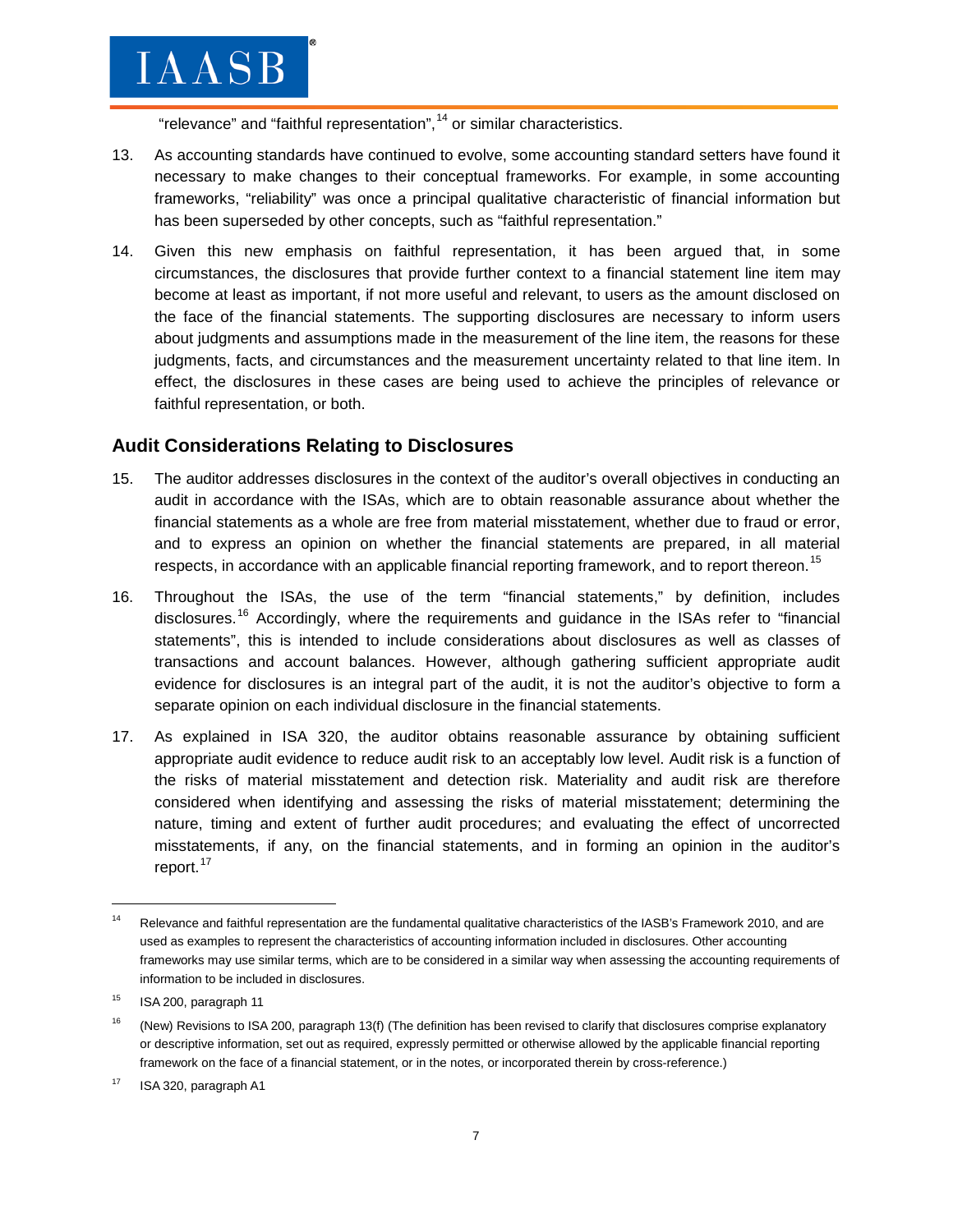"relevance" and "faithful representation",<sup>[14](#page-6-0)</sup> or similar characteristics.

- 13. As accounting standards have continued to evolve, some accounting standard setters have found it necessary to make changes to their conceptual frameworks. For example, in some accounting frameworks, "reliability" was once a principal qualitative characteristic of financial information but has been superseded by other concepts, such as "faithful representation."
- 14. Given this new emphasis on faithful representation, it has been argued that, in some circumstances, the disclosures that provide further context to a financial statement line item may become at least as important, if not more useful and relevant, to users as the amount disclosed on the face of the financial statements. The supporting disclosures are necessary to inform users about judgments and assumptions made in the measurement of the line item, the reasons for these judgments, facts, and circumstances and the measurement uncertainty related to that line item. In effect, the disclosures in these cases are being used to achieve the principles of relevance or faithful representation, or both.

### **Audit Considerations Relating to Disclosures**

- 15. The auditor addresses disclosures in the context of the auditor's overall objectives in conducting an audit in accordance with the ISAs, which are to obtain reasonable assurance about whether the financial statements as a whole are free from material misstatement, whether due to fraud or error, and to express an opinion on whether the financial statements are prepared, in all material respects, in accordance with an applicable financial reporting framework, and to report thereon.<sup>[15](#page-6-1)</sup>
- 16. Throughout the ISAs, the use of the term "financial statements," by definition, includes disclosures.<sup>[16](#page-6-2)</sup> Accordingly, where the requirements and guidance in the ISAs refer to "financial statements", this is intended to include considerations about disclosures as well as classes of transactions and account balances. However, although gathering sufficient appropriate audit evidence for disclosures is an integral part of the audit, it is not the auditor's objective to form a separate opinion on each individual disclosure in the financial statements.
- 17. As explained in ISA 320, the auditor obtains reasonable assurance by obtaining sufficient appropriate audit evidence to reduce audit risk to an acceptably low level. Audit risk is a function of the risks of material misstatement and detection risk. Materiality and audit risk are therefore considered when identifying and assessing the risks of material misstatement; determining the nature, timing and extent of further audit procedures; and evaluating the effect of uncorrected misstatements, if any, on the financial statements, and in forming an opinion in the auditor's report.<sup>[17](#page-6-3)</sup>

<span id="page-6-0"></span><sup>&</sup>lt;sup>14</sup> Relevance and faithful representation are the fundamental qualitative characteristics of the IASB's Framework 2010, and are used as examples to represent the characteristics of accounting information included in disclosures. Other accounting frameworks may use similar terms, which are to be considered in a similar way when assessing the accounting requirements of information to be included in disclosures.

<span id="page-6-1"></span> $15$  ISA 200, paragraph 11

<span id="page-6-2"></span><sup>&</sup>lt;sup>16</sup> (New) Revisions to ISA 200, paragraph 13(f) (The definition has been revised to clarify that disclosures comprise explanatory or descriptive information, set out as required, expressly permitted or otherwise allowed by the applicable financial reporting framework on the face of a financial statement, or in the notes, or incorporated therein by cross-reference.)

<span id="page-6-3"></span><sup>&</sup>lt;sup>17</sup> ISA 320, paragraph A1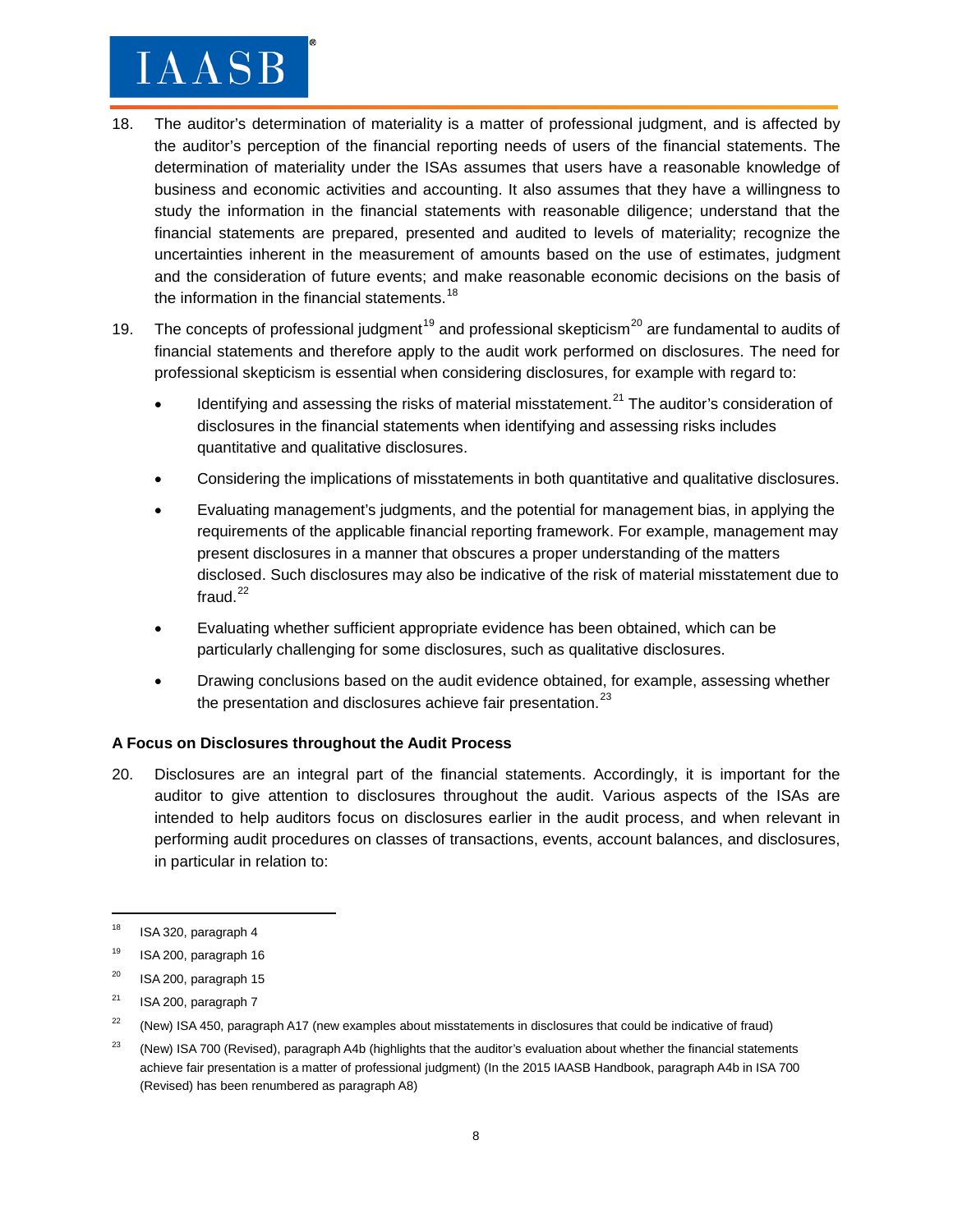- 18. The auditor's determination of materiality is a matter of professional judgment, and is affected by the auditor's perception of the financial reporting needs of users of the financial statements. The determination of materiality under the ISAs assumes that users have a reasonable knowledge of business and economic activities and accounting. It also assumes that they have a willingness to study the information in the financial statements with reasonable diligence; understand that the financial statements are prepared, presented and audited to levels of materiality; recognize the uncertainties inherent in the measurement of amounts based on the use of estimates, judgment and the consideration of future events; and make reasonable economic decisions on the basis of the information in the financial statements. $18$
- [19](#page-7-1). The concepts of professional judgment<sup>19</sup> and professional skepticism<sup>[20](#page-7-2)</sup> are fundamental to audits of financial statements and therefore apply to the audit work performed on disclosures. The need for professional skepticism is essential when considering disclosures, for example with regard to:
	- Identifying and assessing the risks of material misstatement.<sup>[21](#page-7-3)</sup> The auditor's consideration of disclosures in the financial statements when identifying and assessing risks includes quantitative and qualitative disclosures.
	- Considering the implications of misstatements in both quantitative and qualitative disclosures.
	- Evaluating management's judgments, and the potential for management bias, in applying the requirements of the applicable financial reporting framework. For example, management may present disclosures in a manner that obscures a proper understanding of the matters disclosed. Such disclosures may also be indicative of the risk of material misstatement due to fraud. $^{22}$  $^{22}$  $^{22}$
	- Evaluating whether sufficient appropriate evidence has been obtained, which can be particularly challenging for some disclosures, such as qualitative disclosures.
	- Drawing conclusions based on the audit evidence obtained, for example, assessing whether the presentation and disclosures achieve fair presentation. $^{23}$  $^{23}$  $^{23}$

#### **A Focus on Disclosures throughout the Audit Process**

20. Disclosures are an integral part of the financial statements. Accordingly, it is important for the auditor to give attention to disclosures throughout the audit. Various aspects of the ISAs are intended to help auditors focus on disclosures earlier in the audit process, and when relevant in performing audit procedures on classes of transactions, events, account balances, and disclosures, in particular in relation to:

<span id="page-7-0"></span> $18$  ISA 320, paragraph 4

<span id="page-7-1"></span> $19$  ISA 200, paragraph 16

<span id="page-7-2"></span> $20$  ISA 200, paragraph 15

<span id="page-7-3"></span> $21$  ISA 200, paragraph 7

<span id="page-7-4"></span> $22$  (New) ISA 450, paragraph A17 (new examples about misstatements in disclosures that could be indicative of fraud)

<span id="page-7-5"></span><sup>&</sup>lt;sup>23</sup> (New) ISA 700 (Revised), paragraph A4b (highlights that the auditor's evaluation about whether the financial statements achieve fair presentation is a matter of professional judgment) (In the 2015 IAASB Handbook, paragraph A4b in ISA 700 (Revised) has been renumbered as paragraph A8)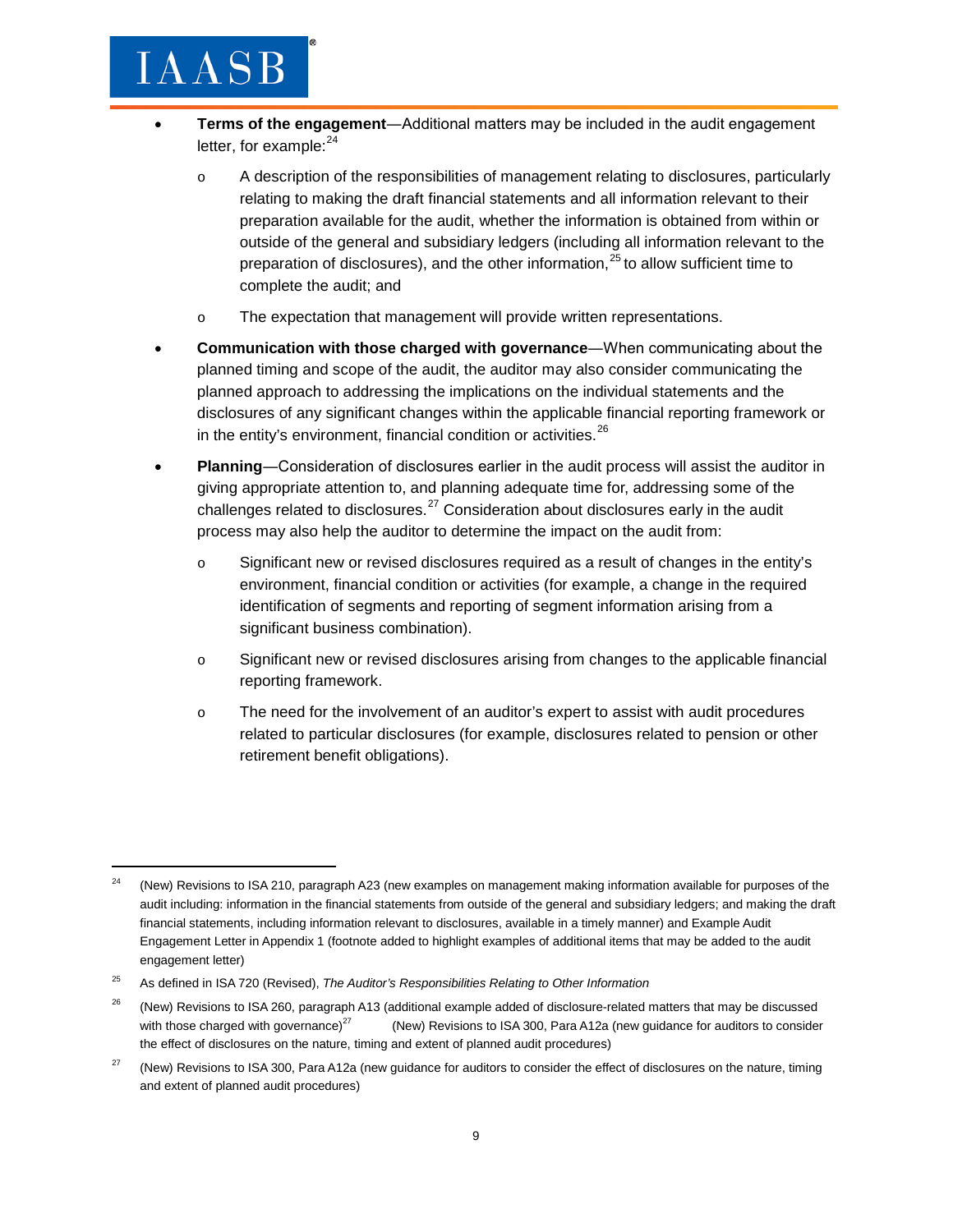## $_{\mathrm{IARSB}}$

- **Terms of the engagement**―Additional matters may be included in the audit engagement letter, for example: $^{24}$  $^{24}$  $^{24}$ 
	- o A description of the responsibilities of management relating to disclosures, particularly relating to making the draft financial statements and all information relevant to their preparation available for the audit, whether the information is obtained from within or outside of the general and subsidiary ledgers (including all information relevant to the preparation of disclosures), and the other information, $25$  to allow sufficient time to complete the audit; and
	- o The expectation that management will provide written representations.
- **Communication with those charged with governance**―When communicating about the planned timing and scope of the audit, the auditor may also consider communicating the planned approach to addressing the implications on the individual statements and the disclosures of any significant changes within the applicable financial reporting framework or in the entity's environment, financial condition or activities. [26](#page-8-2)
- **Planning**―Consideration of disclosures earlier in the audit process will assist the auditor in giving appropriate attention to, and planning adequate time for, addressing some of the challenges related to disclosures.<sup>[27](#page-8-3)</sup> Consideration about disclosures early in the audit process may also help the auditor to determine the impact on the audit from:
	- o Significant new or revised disclosures required as a result of changes in the entity's environment, financial condition or activities (for example, a change in the required identification of segments and reporting of segment information arising from a significant business combination).
	- o Significant new or revised disclosures arising from changes to the applicable financial reporting framework.
	- o The need for the involvement of an auditor's expert to assist with audit procedures related to particular disclosures (for example, disclosures related to pension or other retirement benefit obligations).

<span id="page-8-0"></span> $24$  (New) Revisions to ISA 210, paragraph A23 (new examples on management making information available for purposes of the audit including: information in the financial statements from outside of the general and subsidiary ledgers; and making the draft financial statements, including information relevant to disclosures, available in a timely manner) and Example Audit Engagement Letter in Appendix 1 (footnote added to highlight examples of additional items that may be added to the audit engagement letter)

<span id="page-8-2"></span><span id="page-8-1"></span><sup>25</sup> As defined in ISA 720 (Revised), *The Auditor's Responsibilities Relating to Other Information*

<span id="page-8-3"></span><sup>&</sup>lt;sup>26</sup> (New) Revisions to ISA 260, paragraph A13 (additional example added of disclosure-related matters that may be discussed with those charged with governance)<sup>27</sup> (New) Revisions to ISA 300, Para A12a (new guidance for auditors to consider the effect of disclosures on the nature, timing and extent of planned audit procedures)

<span id="page-8-4"></span><sup>&</sup>lt;sup>27</sup> (New) Revisions to ISA 300, Para A12a (new guidance for auditors to consider the effect of disclosures on the nature, timing and extent of planned audit procedures)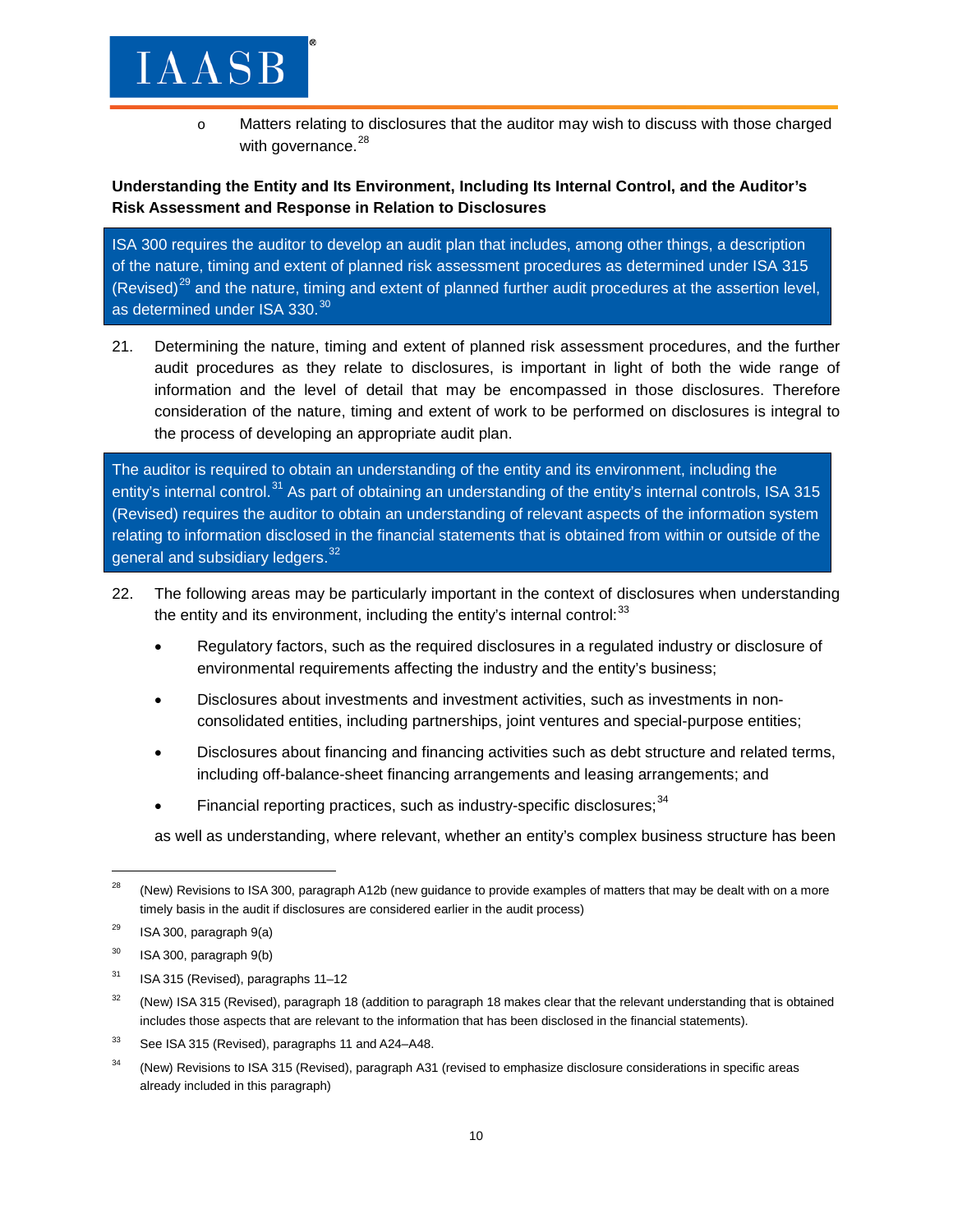o Matters relating to disclosures that the auditor may wish to discuss with those charged with governance.<sup>[28](#page-8-4)</sup>

#### **Understanding the Entity and Its Environment, Including Its Internal Control, and the Auditor's Risk Assessment and Response in Relation to Disclosures**

ISA 300 requires the auditor to develop an audit plan that includes, among other things, a description of the nature, timing and extent of planned risk assessment procedures as determined under ISA 315 (Revised) $^{29}$  $^{29}$  $^{29}$  and the nature, timing and extent of planned further audit procedures at the assertion level, as determined under ISA 3[30](#page-9-1).<sup>30</sup>

21. Determining the nature, timing and extent of planned risk assessment procedures, and the further audit procedures as they relate to disclosures, is important in light of both the wide range of information and the level of detail that may be encompassed in those disclosures. Therefore consideration of the nature, timing and extent of work to be performed on disclosures is integral to the process of developing an appropriate audit plan.

The auditor is required to obtain an understanding of the entity and its environment, including the entity's internal control.<sup>[31](#page-9-2)</sup> As part of obtaining an understanding of the entity's internal controls, ISA 315 (Revised) requires the auditor to obtain an understanding of relevant aspects of the information system relating to information disclosed in the financial statements that is obtained from within or outside of the general and subsidiary ledgers.<sup>[32](#page-9-3)</sup>

- 22. The following areas may be particularly important in the context of disclosures when understanding the entity and its environment, including the entity's internal control: $^{33}$  $^{33}$  $^{33}$ 
	- Regulatory factors, such as the required disclosures in a regulated industry or disclosure of environmental requirements affecting the industry and the entity's business;
	- Disclosures about investments and investment activities, such as investments in nonconsolidated entities, including partnerships, joint ventures and special-purpose entities;
	- Disclosures about financing and financing activities such as debt structure and related terms, including off-balance-sheet financing arrangements and leasing arrangements; and
	- Financial reporting practices, such as industry-specific disclosures:  $34$

as well as understanding, where relevant, whether an entity's complex business structure has been

<span id="page-9-0"></span><sup>&</sup>lt;sup>28</sup> (New) Revisions to ISA 300, paragraph A12b (new guidance to provide examples of matters that may be dealt with on a more timely basis in the audit if disclosures are considered earlier in the audit process)

<span id="page-9-1"></span> $29$  ISA 300, paragraph 9(a)

<span id="page-9-2"></span> $30$  ISA 300, paragraph 9(b)

<span id="page-9-3"></span> $31$  ISA 315 (Revised), paragraphs 11-12

<span id="page-9-4"></span><sup>&</sup>lt;sup>32</sup> (New) ISA 315 (Revised), paragraph 18 (addition to paragraph 18 makes clear that the relevant understanding that is obtained includes those aspects that are relevant to the information that has been disclosed in the financial statements).

<span id="page-9-5"></span><sup>&</sup>lt;sup>33</sup> See ISA 315 (Revised), paragraphs 11 and A24-A48.

<span id="page-9-6"></span><sup>&</sup>lt;sup>34</sup> (New) Revisions to ISA 315 (Revised), paragraph A31 (revised to emphasize disclosure considerations in specific areas already included in this paragraph)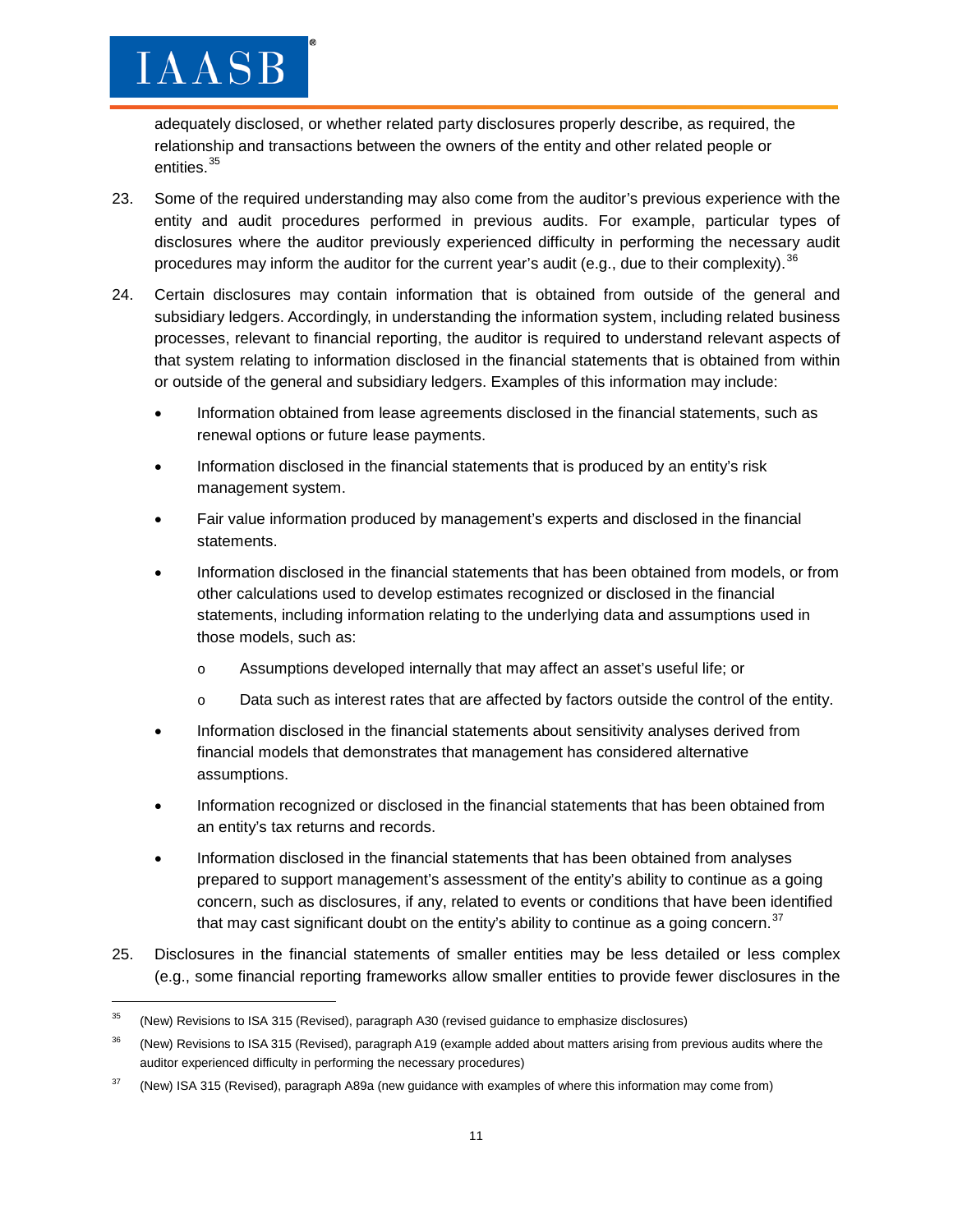adequately disclosed, or whether related party disclosures properly describe, as required, the relationship and transactions between the owners of the entity and other related people or entities.<sup>[35](#page-9-6)</sup>

- 23. Some of the required understanding may also come from the auditor's previous experience with the entity and audit procedures performed in previous audits. For example, particular types of disclosures where the auditor previously experienced difficulty in performing the necessary audit procedures may inform the auditor for the current year's audit (e.g., due to their complexity).  $36$
- 24. Certain disclosures may contain information that is obtained from outside of the general and subsidiary ledgers. Accordingly, in understanding the information system, including related business processes, relevant to financial reporting, the auditor is required to understand relevant aspects of that system relating to information disclosed in the financial statements that is obtained from within or outside of the general and subsidiary ledgers. Examples of this information may include:
	- Information obtained from lease agreements disclosed in the financial statements, such as renewal options or future lease payments.
	- Information disclosed in the financial statements that is produced by an entity's risk management system.
	- Fair value information produced by management's experts and disclosed in the financial statements.
	- Information disclosed in the financial statements that has been obtained from models, or from other calculations used to develop estimates recognized or disclosed in the financial statements, including information relating to the underlying data and assumptions used in those models, such as:
		- o Assumptions developed internally that may affect an asset's useful life; or
		- o Data such as interest rates that are affected by factors outside the control of the entity.
	- Information disclosed in the financial statements about sensitivity analyses derived from financial models that demonstrates that management has considered alternative assumptions.
	- Information recognized or disclosed in the financial statements that has been obtained from an entity's tax returns and records.
	- Information disclosed in the financial statements that has been obtained from analyses prepared to support management's assessment of the entity's ability to continue as a going concern, such as disclosures, if any, related to events or conditions that have been identified that may cast significant doubt on the entity's ability to continue as a going concern.<sup>[37](#page-10-1)</sup>
- 25. Disclosures in the financial statements of smaller entities may be less detailed or less complex (e.g., some financial reporting frameworks allow smaller entities to provide fewer disclosures in the

<sup>&</sup>lt;sup>35</sup> (New) Revisions to ISA 315 (Revised), paragraph A30 (revised guidance to emphasize disclosures)

<span id="page-10-0"></span><sup>&</sup>lt;sup>36</sup> (New) Revisions to ISA 315 (Revised), paragraph A19 (example added about matters arising from previous audits where the auditor experienced difficulty in performing the necessary procedures)

<span id="page-10-1"></span><sup>&</sup>lt;sup>37</sup> (New) ISA 315 (Revised), paragraph A89a (new guidance with examples of where this information may come from)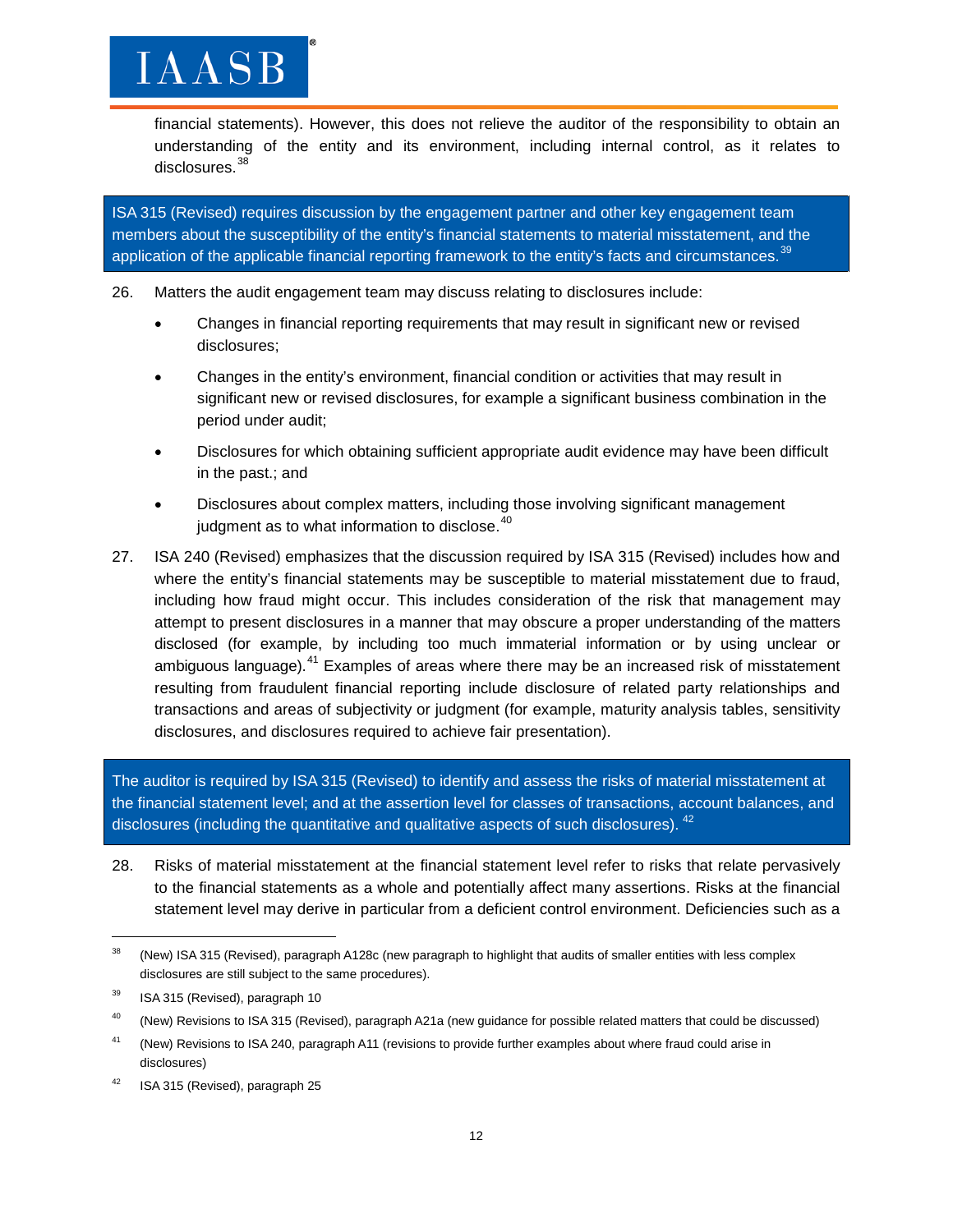financial statements). However, this does not relieve the auditor of the responsibility to obtain an understanding of the entity and its environment, including internal control, as it relates to disclosures.<sup>[38](#page-11-0)</sup>

ISA 315 (Revised) requires discussion by the engagement partner and other key engagement team members about the susceptibility of the entity's financial statements to material misstatement, and the application of the applicable financial reporting framework to the entity's facts and circumstances.<sup>[39](#page-11-1)</sup>

26. Matters the audit engagement team may discuss relating to disclosures include:

- Changes in financial reporting requirements that may result in significant new or revised disclosures;
- Changes in the entity's environment, financial condition or activities that may result in significant new or revised disclosures, for example a significant business combination in the period under audit;
- Disclosures for which obtaining sufficient appropriate audit evidence may have been difficult in the past.; and
- Disclosures about complex matters, including those involving significant management judgment as to what information to disclose.<sup>[40](#page-11-2)</sup>
- 27. ISA 240 (Revised) emphasizes that the discussion required by ISA 315 (Revised) includes how and where the entity's financial statements may be susceptible to material misstatement due to fraud, including how fraud might occur. This includes consideration of the risk that management may attempt to present disclosures in a manner that may obscure a proper understanding of the matters disclosed (for example, by including too much immaterial information or by using unclear or ambiguous language).<sup>[41](#page-11-3)</sup> Examples of areas where there may be an increased risk of misstatement resulting from fraudulent financial reporting include disclosure of related party relationships and transactions and areas of subjectivity or judgment (for example, maturity analysis tables, sensitivity disclosures, and disclosures required to achieve fair presentation).

The auditor is required by ISA 315 (Revised) to identify and assess the risks of material misstatement at the financial statement level; and at the assertion level for classes of transactions, account balances, and disclosures (including the quantitative and qualitative aspects of such disclosures). <sup>[42](#page-11-4)</sup>

28. Risks of material misstatement at the financial statement level refer to risks that relate pervasively to the financial statements as a whole and potentially affect many assertions. Risks at the financial statement level may derive in particular from a deficient control environment. Deficiencies such as a

<span id="page-11-0"></span><sup>&</sup>lt;sup>38</sup> (New) ISA 315 (Revised), paragraph A128c (new paragraph to highlight that audits of smaller entities with less complex disclosures are still subject to the same procedures).

<span id="page-11-1"></span> $39$  ISA 315 (Revised), paragraph 10

<span id="page-11-2"></span><sup>&</sup>lt;sup>40</sup> (New) Revisions to ISA 315 (Revised), paragraph A21a (new guidance for possible related matters that could be discussed)

<span id="page-11-3"></span><sup>&</sup>lt;sup>41</sup> (New) Revisions to ISA 240, paragraph A11 (revisions to provide further examples about where fraud could arise in disclosures)

<span id="page-11-4"></span><sup>&</sup>lt;sup>42</sup> ISA 315 (Revised), paragraph 25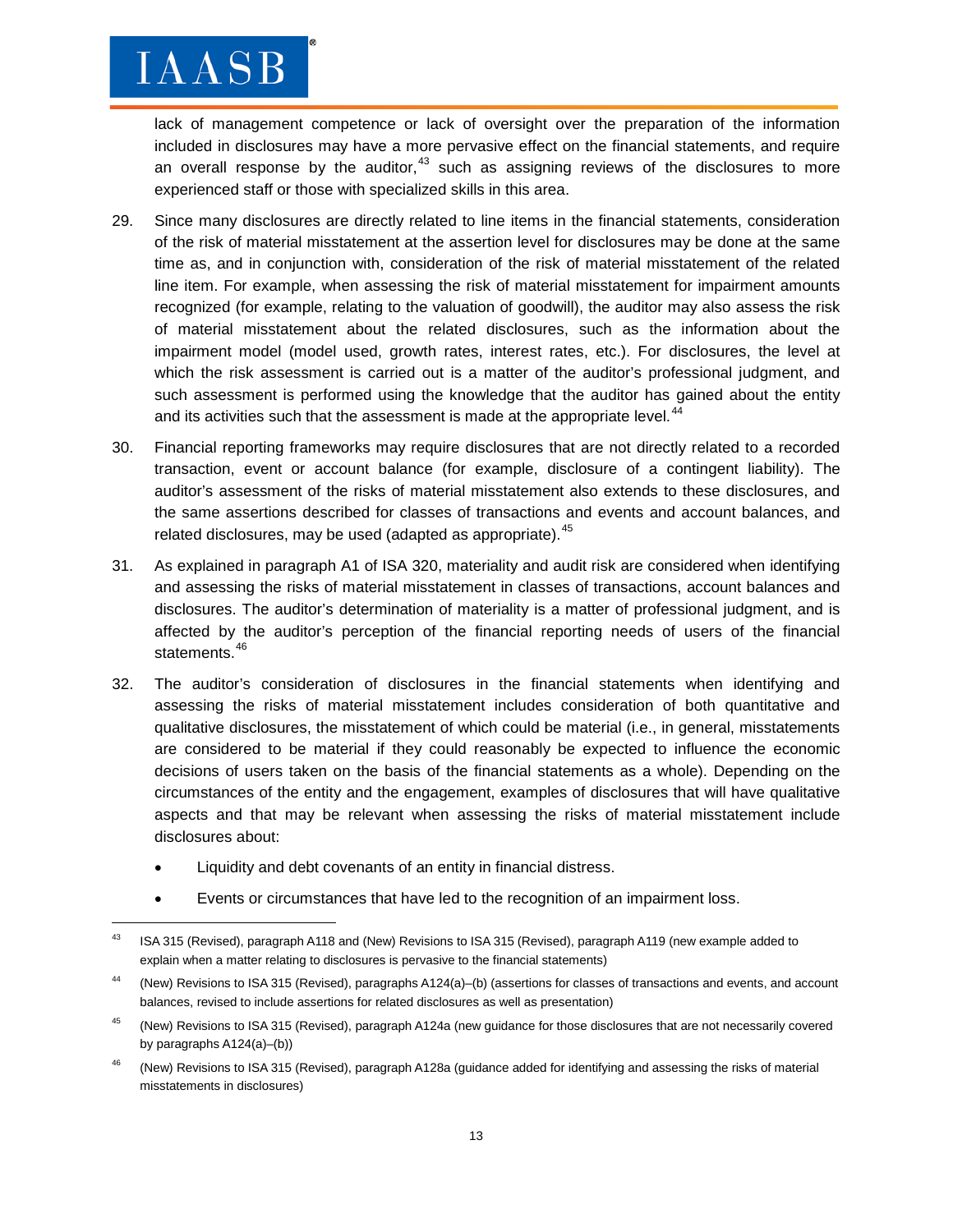$\overline{\phantom{a}}$ 

lack of management competence or lack of oversight over the preparation of the information included in disclosures may have a more pervasive effect on the financial statements, and require an overall response by the auditor,  $43$  such as assigning reviews of the disclosures to more experienced staff or those with specialized skills in this area.

- 29. Since many disclosures are directly related to line items in the financial statements, consideration of the risk of material misstatement at the assertion level for disclosures may be done at the same time as, and in conjunction with, consideration of the risk of material misstatement of the related line item. For example, when assessing the risk of material misstatement for impairment amounts recognized (for example, relating to the valuation of goodwill), the auditor may also assess the risk of material misstatement about the related disclosures, such as the information about the impairment model (model used, growth rates, interest rates, etc.). For disclosures, the level at which the risk assessment is carried out is a matter of the auditor's professional judgment, and such assessment is performed using the knowledge that the auditor has gained about the entity and its activities such that the assessment is made at the appropriate level.<sup>[44](#page-12-1)</sup>
- 30. Financial reporting frameworks may require disclosures that are not directly related to a recorded transaction, event or account balance (for example, disclosure of a contingent liability). The auditor's assessment of the risks of material misstatement also extends to these disclosures, and the same assertions described for classes of transactions and events and account balances, and related disclosures, may be used (adapted as appropriate).  $45$
- 31. As explained in paragraph A1 of ISA 320, materiality and audit risk are considered when identifying and assessing the risks of material misstatement in classes of transactions, account balances and disclosures. The auditor's determination of materiality is a matter of professional judgment, and is affected by the auditor's perception of the financial reporting needs of users of the financial statements.<sup>[46](#page-12-3)</sup>
- 32. The auditor's consideration of disclosures in the financial statements when identifying and assessing the risks of material misstatement includes consideration of both quantitative and qualitative disclosures, the misstatement of which could be material (i.e., in general, misstatements are considered to be material if they could reasonably be expected to influence the economic decisions of users taken on the basis of the financial statements as a whole). Depending on the circumstances of the entity and the engagement, examples of disclosures that will have qualitative aspects and that may be relevant when assessing the risks of material misstatement include disclosures about:
	- Liquidity and debt covenants of an entity in financial distress.
	- Events or circumstances that have led to the recognition of an impairment loss.

<span id="page-12-3"></span><sup>46</sup> (New) Revisions to ISA 315 (Revised), paragraph A128a (guidance added for identifying and assessing the risks of material misstatements in disclosures)

<span id="page-12-0"></span><sup>&</sup>lt;sup>43</sup> ISA 315 (Revised), paragraph A118 and (New) Revisions to ISA 315 (Revised), paragraph A119 (new example added to explain when a matter relating to disclosures is pervasive to the financial statements)

<span id="page-12-1"></span><sup>44</sup> (New) Revisions to ISA 315 (Revised), paragraphs A124(a)–(b) (assertions for classes of transactions and events, and account balances, revised to include assertions for related disclosures as well as presentation)

<span id="page-12-2"></span><sup>&</sup>lt;sup>45</sup> (New) Revisions to ISA 315 (Revised), paragraph A124a (new guidance for those disclosures that are not necessarily covered by paragraphs A124(a)–(b))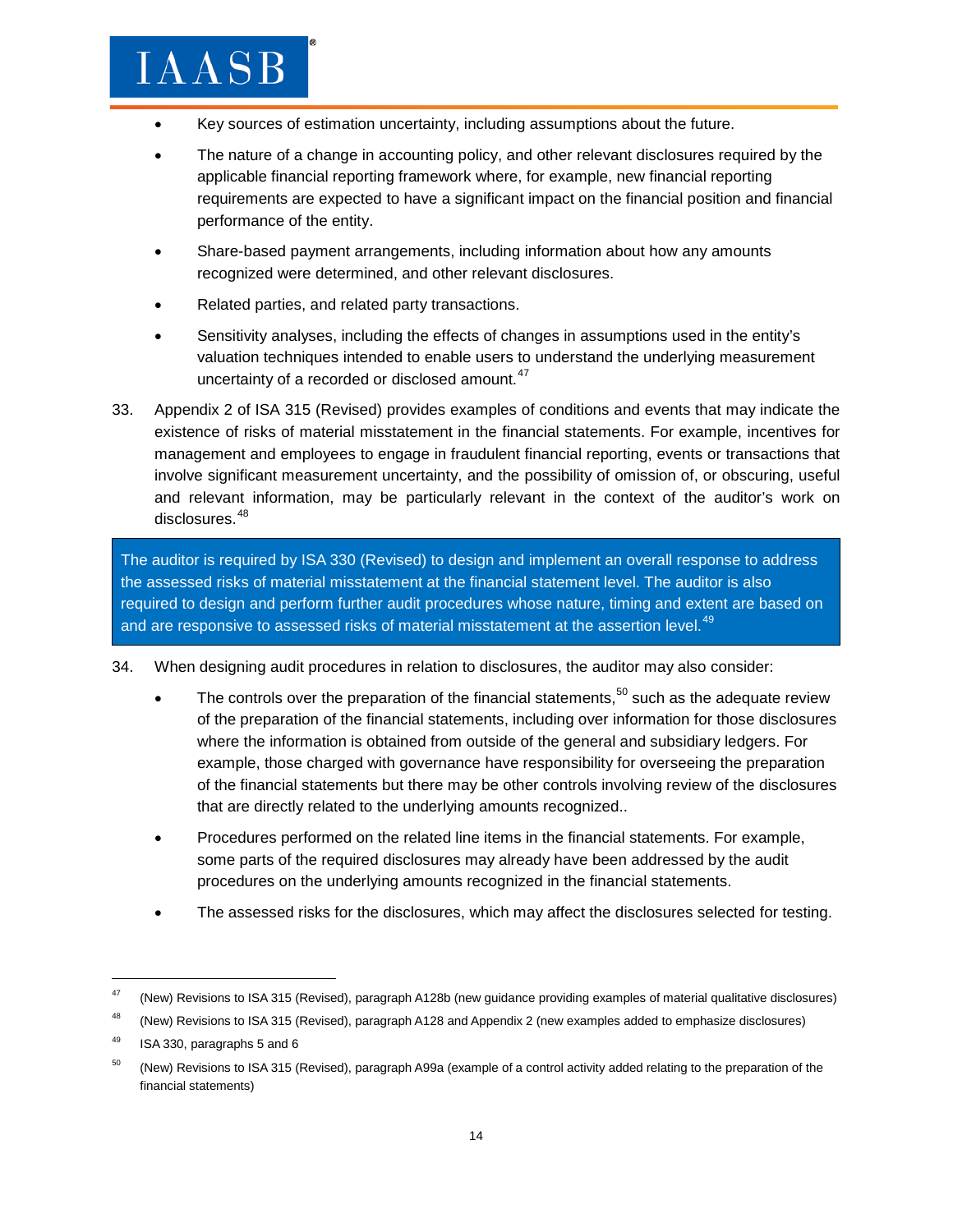- Key sources of estimation uncertainty, including assumptions about the future.
- The nature of a change in accounting policy, and other relevant disclosures required by the applicable financial reporting framework where, for example, new financial reporting requirements are expected to have a significant impact on the financial position and financial performance of the entity.
- Share-based payment arrangements, including information about how any amounts recognized were determined, and other relevant disclosures.
- Related parties, and related party transactions.
- Sensitivity analyses, including the effects of changes in assumptions used in the entity's valuation techniques intended to enable users to understand the underlying measurement uncertainty of a recorded or disclosed amount.<sup>[47](#page-13-0)</sup>
- 33. Appendix 2 of ISA 315 (Revised) provides examples of conditions and events that may indicate the existence of risks of material misstatement in the financial statements. For example, incentives for management and employees to engage in fraudulent financial reporting, events or transactions that involve significant measurement uncertainty, and the possibility of omission of, or obscuring, useful and relevant information, may be particularly relevant in the context of the auditor's work on disclosures.<sup>[48](#page-13-1)</sup>

The auditor is required by ISA 330 (Revised) to design and implement an overall response to address the assessed risks of material misstatement at the financial statement level. The auditor is also required to design and perform further audit procedures whose nature, timing and extent are based on and are responsive to assessed risks of material misstatement at the assertion level. $49$ 

- 34. When designing audit procedures in relation to disclosures, the auditor may also consider:
	- The controls over the preparation of the financial statements,<sup>[50](#page-13-3)</sup> such as the adequate review of the preparation of the financial statements, including over information for those disclosures where the information is obtained from outside of the general and subsidiary ledgers. For example, those charged with governance have responsibility for overseeing the preparation of the financial statements but there may be other controls involving review of the disclosures that are directly related to the underlying amounts recognized..
	- Procedures performed on the related line items in the financial statements. For example, some parts of the required disclosures may already have been addressed by the audit procedures on the underlying amounts recognized in the financial statements.
	- The assessed risks for the disclosures, which may affect the disclosures selected for testing.

<span id="page-13-0"></span><sup>&</sup>lt;sup>47</sup> (New) Revisions to ISA 315 (Revised), paragraph A128b (new guidance providing examples of material qualitative disclosures)

<span id="page-13-1"></span><sup>&</sup>lt;sup>48</sup> (New) Revisions to ISA 315 (Revised), paragraph A128 and Appendix 2 (new examples added to emphasize disclosures)

<span id="page-13-2"></span> $49$  ISA 330, paragraphs 5 and 6

<span id="page-13-3"></span><sup>&</sup>lt;sup>50</sup> (New) Revisions to ISA 315 (Revised), paragraph A99a (example of a control activity added relating to the preparation of the financial statements)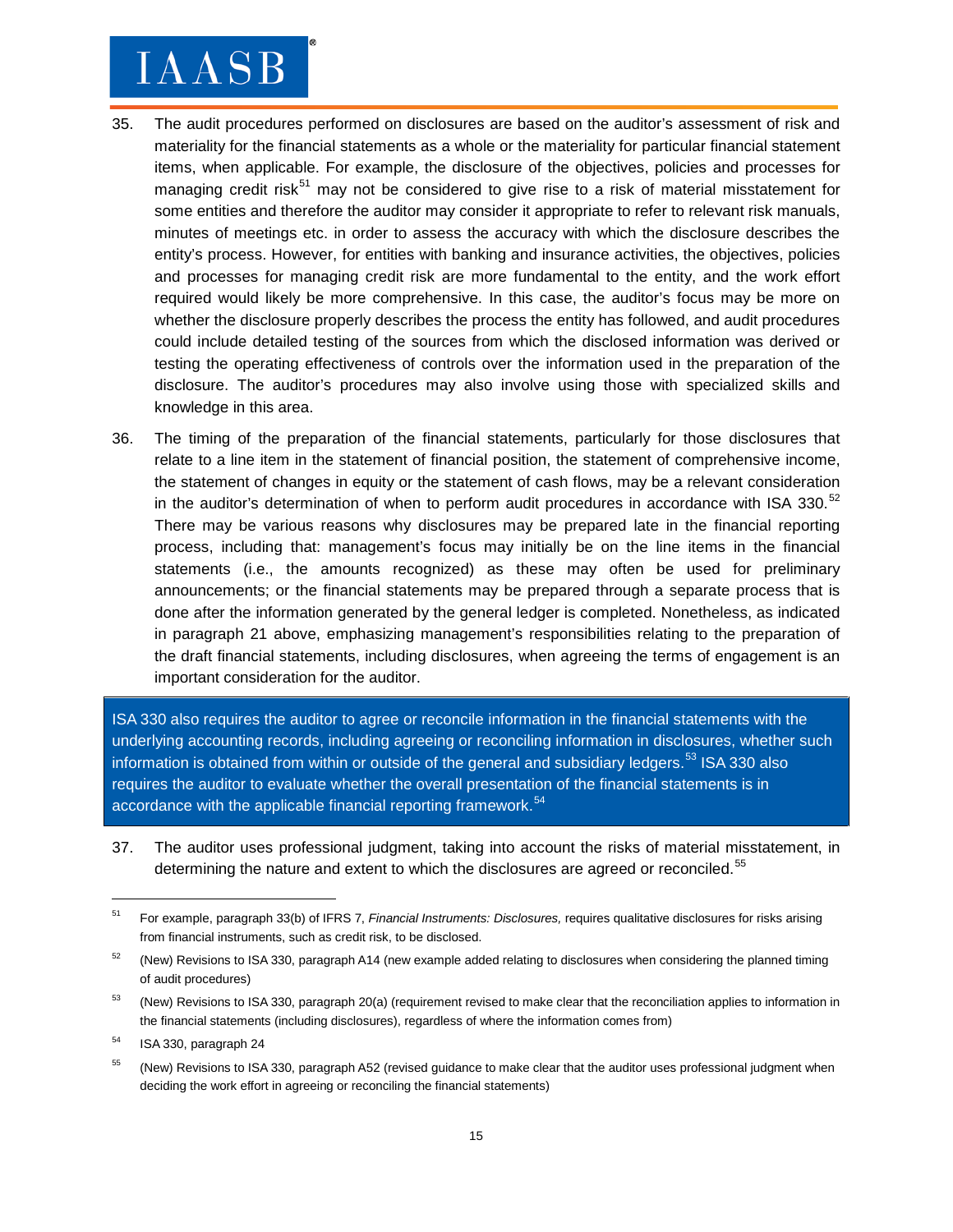- 35. The audit procedures performed on disclosures are based on the auditor's assessment of risk and materiality for the financial statements as a whole or the materiality for particular financial statement items, when applicable. For example, the disclosure of the objectives, policies and processes for managing credit risk<sup>[51](#page-14-0)</sup> may not be considered to give rise to a risk of material misstatement for some entities and therefore the auditor may consider it appropriate to refer to relevant risk manuals, minutes of meetings etc. in order to assess the accuracy with which the disclosure describes the entity's process. However, for entities with banking and insurance activities, the objectives, policies and processes for managing credit risk are more fundamental to the entity, and the work effort required would likely be more comprehensive. In this case, the auditor's focus may be more on whether the disclosure properly describes the process the entity has followed, and audit procedures could include detailed testing of the sources from which the disclosed information was derived or testing the operating effectiveness of controls over the information used in the preparation of the disclosure. The auditor's procedures may also involve using those with specialized skills and knowledge in this area.
- 36. The timing of the preparation of the financial statements, particularly for those disclosures that relate to a line item in the statement of financial position, the statement of comprehensive income, the statement of changes in equity or the statement of cash flows, may be a relevant consideration in the auditor's determination of when to perform audit procedures in accordance with ISA 330.<sup>[52](#page-14-1)</sup> There may be various reasons why disclosures may be prepared late in the financial reporting process, including that: management's focus may initially be on the line items in the financial statements (i.e., the amounts recognized) as these may often be used for preliminary announcements; or the financial statements may be prepared through a separate process that is done after the information generated by the general ledger is completed. Nonetheless, as indicated in paragraph 21 above, emphasizing management's responsibilities relating to the preparation of the draft financial statements, including disclosures, when agreeing the terms of engagement is an important consideration for the auditor.

ISA 330 also requires the auditor to agree or reconcile information in the financial statements with the underlying accounting records, including agreeing or reconciling information in disclosures, whether such information is obtained from within or outside of the general and subsidiary ledgers.<sup>[53](#page-14-2)</sup> ISA 330 also requires the auditor to evaluate whether the overall presentation of the financial statements is in accordance with the applicable financial reporting framework.<sup>[54](#page-14-3)</sup>

37. The auditor uses professional judgment, taking into account the risks of material misstatement, in determining the nature and extent to which the disclosures are agreed or reconciled.<sup>[55](#page-14-4)</sup>

<span id="page-14-0"></span><sup>51</sup> For example, paragraph 33(b) of IFRS 7, *Financial Instruments: Disclosures,* requires qualitative disclosures for risks arising from financial instruments, such as credit risk, to be disclosed.

<span id="page-14-1"></span> $52$  (New) Revisions to ISA 330, paragraph A14 (new example added relating to disclosures when considering the planned timing of audit procedures)

<span id="page-14-2"></span><sup>&</sup>lt;sup>53</sup> (New) Revisions to ISA 330, paragraph 20(a) (requirement revised to make clear that the reconciliation applies to information in the financial statements (including disclosures), regardless of where the information comes from)

<span id="page-14-3"></span><sup>54</sup> ISA 330, paragraph 24

<span id="page-14-4"></span><sup>&</sup>lt;sup>55</sup> (New) Revisions to ISA 330, paragraph A52 (revised guidance to make clear that the auditor uses professional judgment when deciding the work effort in agreeing or reconciling the financial statements)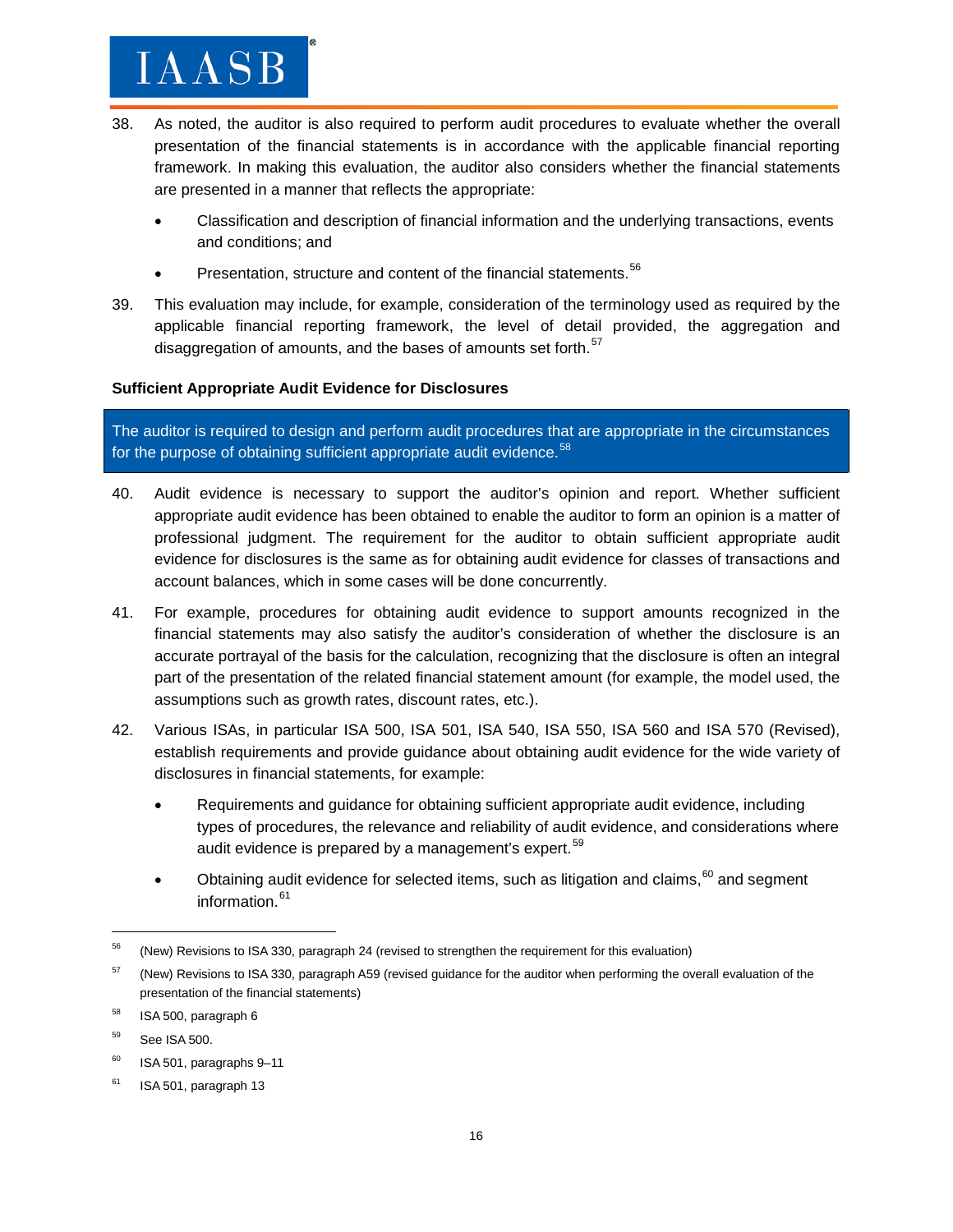- 38. As noted, the auditor is also required to perform audit procedures to evaluate whether the overall presentation of the financial statements is in accordance with the applicable financial reporting framework. In making this evaluation, the auditor also considers whether the financial statements are presented in a manner that reflects the appropriate:
	- Classification and description of financial information and the underlying transactions, events and conditions; and
	- Presentation, structure and content of the financial statements.<sup>[56](#page-15-0)</sup>
- 39. This evaluation may include, for example, consideration of the terminology used as required by the applicable financial reporting framework, the level of detail provided, the aggregation and disaggregation of amounts, and the bases of amounts set forth.<sup>[57](#page-15-1)</sup>

#### **Sufficient Appropriate Audit Evidence for Disclosures**

The auditor is required to design and perform audit procedures that are appropriate in the circumstances for the purpose of obtaining sufficient appropriate audit evidence.<sup>[58](#page-15-2)</sup>

- 40. Audit evidence is necessary to support the auditor's opinion and report. Whether sufficient appropriate audit evidence has been obtained to enable the auditor to form an opinion is a matter of professional judgment. The requirement for the auditor to obtain sufficient appropriate audit evidence for disclosures is the same as for obtaining audit evidence for classes of transactions and account balances, which in some cases will be done concurrently.
- 41. For example, procedures for obtaining audit evidence to support amounts recognized in the financial statements may also satisfy the auditor's consideration of whether the disclosure is an accurate portrayal of the basis for the calculation, recognizing that the disclosure is often an integral part of the presentation of the related financial statement amount (for example, the model used, the assumptions such as growth rates, discount rates, etc.).
- 42. Various ISAs, in particular ISA 500, ISA 501, ISA 540, ISA 550, ISA 560 and ISA 570 (Revised), establish requirements and provide guidance about obtaining audit evidence for the wide variety of disclosures in financial statements, for example:
	- Requirements and guidance for obtaining sufficient appropriate audit evidence, including types of procedures, the relevance and reliability of audit evidence, and considerations where audit evidence is prepared by a management's expert.<sup>[59](#page-15-3)</sup>
	- Obtaining audit evidence for selected items, such as litigation and claims,  $60$  and segment information.<sup>[61](#page-15-5)</sup>

<span id="page-15-0"></span><sup>&</sup>lt;sup>56</sup> (New) Revisions to ISA 330, paragraph 24 (revised to strengthen the requirement for this evaluation)

<span id="page-15-1"></span><sup>&</sup>lt;sup>57</sup> (New) Revisions to ISA 330, paragraph A59 (revised guidance for the auditor when performing the overall evaluation of the presentation of the financial statements)

<span id="page-15-2"></span> $58$  ISA 500, paragraph 6

<span id="page-15-3"></span><sup>59</sup> See ISA 500.

<span id="page-15-4"></span> $60$  ISA 501, paragraphs 9-11

<span id="page-15-5"></span> $61$  ISA 501, paragraph 13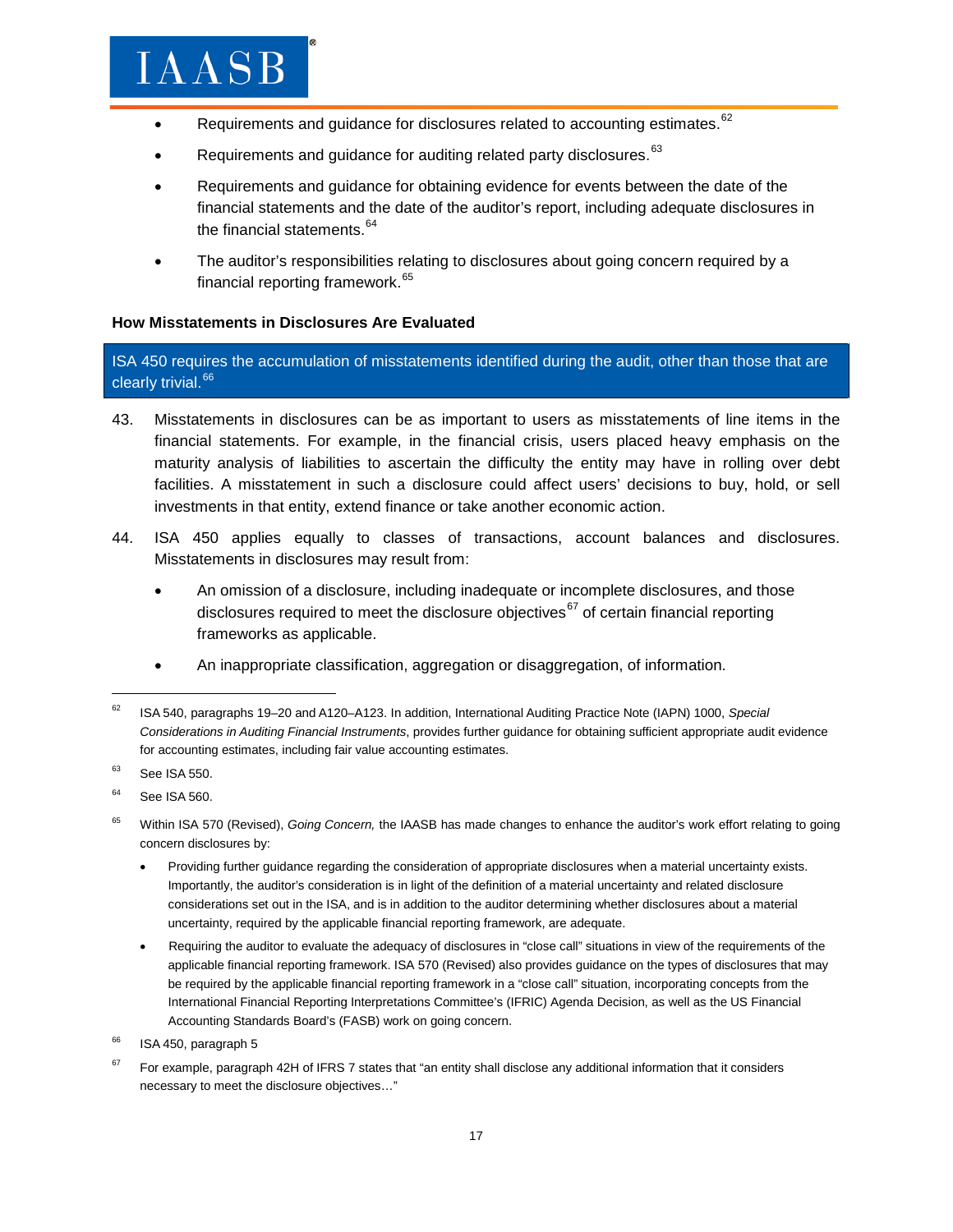- Requirements and guidance for disclosures related to accounting estimates.<sup>[62](#page-16-0)</sup>
- Requirements and guidance for auditing related party disclosures.<sup>[63](#page-16-1)</sup>
- Requirements and guidance for obtaining evidence for events between the date of the financial statements and the date of the auditor's report, including adequate disclosures in the financial statements.<sup>[64](#page-16-2)</sup>
- The auditor's responsibilities relating to disclosures about going concern required by a financial reporting framework.<sup>[65](#page-16-3)</sup>

#### **How Misstatements in Disclosures Are Evaluated**

ISA 450 requires the accumulation of misstatements identified during the audit, other than those that are clearly trivial.<sup>[66](#page-16-4)</sup>

- 43. Misstatements in disclosures can be as important to users as misstatements of line items in the financial statements. For example, in the financial crisis, users placed heavy emphasis on the maturity analysis of liabilities to ascertain the difficulty the entity may have in rolling over debt facilities. A misstatement in such a disclosure could affect users' decisions to buy, hold, or sell investments in that entity, extend finance or take another economic action.
- 44. ISA 450 applies equally to classes of transactions, account balances and disclosures. Misstatements in disclosures may result from:
	- An omission of a disclosure, including inadequate or incomplete disclosures, and those disclosures required to meet the disclosure objectives<sup>[67](#page-16-5)</sup> of certain financial reporting frameworks as applicable.
	- An inappropriate classification, aggregation or disaggregation, of information.

- Providing further guidance regarding the consideration of appropriate disclosures when a material uncertainty exists. Importantly, the auditor's consideration is in light of the definition of a material uncertainty and related disclosure considerations set out in the ISA, and is in addition to the auditor determining whether disclosures about a material uncertainty, required by the applicable financial reporting framework, are adequate.
- Requiring the auditor to evaluate the adequacy of disclosures in "close call" situations in view of the requirements of the applicable financial reporting framework. ISA 570 (Revised) also provides guidance on the types of disclosures that may be required by the applicable financial reporting framework in a "close call" situation, incorporating concepts from the International Financial Reporting Interpretations Committee's (IFRIC) Agenda Decision, as well as the US Financial Accounting Standards Board's (FASB) work on going concern.

<span id="page-16-0"></span><sup>62</sup> ISA 540, paragraphs 19–20 and A120–A123. In addition, International Auditing Practice Note (IAPN) 1000, *Special Considerations in Auditing Financial Instruments*, provides further guidance for obtaining sufficient appropriate audit evidence for accounting estimates, including fair value accounting estimates.

<span id="page-16-2"></span><span id="page-16-1"></span> $63$  See ISA 550.

See ISA 560.

<span id="page-16-3"></span><sup>65</sup> Within ISA 570 (Revised), *Going Concern,* the IAASB has made changes to enhance the auditor's work effort relating to going concern disclosures by:

<span id="page-16-4"></span>ISA 450, paragraph 5

<span id="page-16-5"></span>For example, paragraph 42H of IFRS 7 states that "an entity shall disclose any additional information that it considers necessary to meet the disclosure objectives…"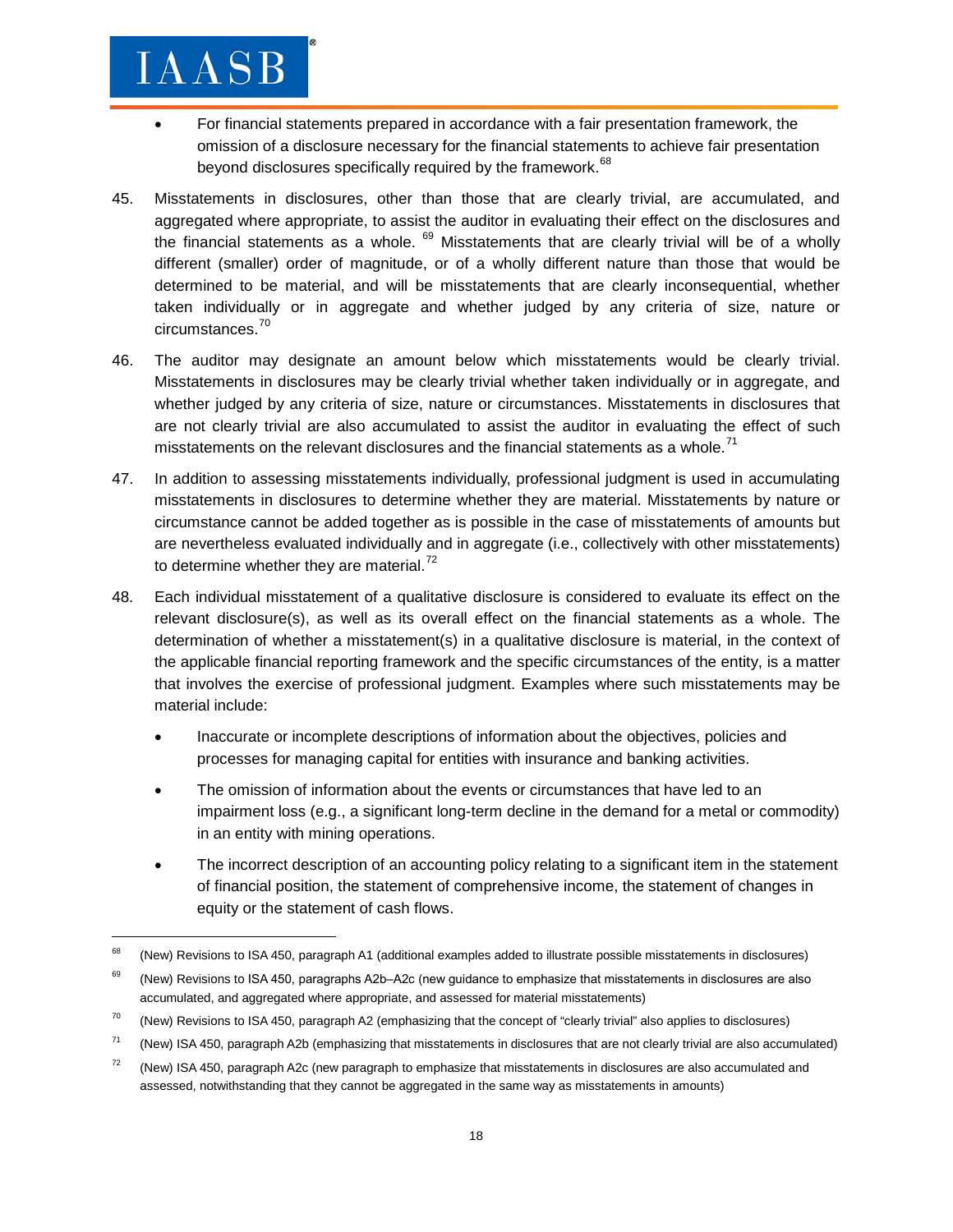- For financial statements prepared in accordance with a fair presentation framework, the omission of a disclosure necessary for the financial statements to achieve fair presentation beyond disclosures specifically required by the framework.<sup>[68](#page-17-0)</sup>
- 45. Misstatements in disclosures, other than those that are clearly trivial, are accumulated, and aggregated where appropriate, to assist the auditor in evaluating their effect on the disclosures and the financial statements as a whole.  $69$  Misstatements that are clearly trivial will be of a wholly different (smaller) order of magnitude, or of a wholly different nature than those that would be determined to be material, and will be misstatements that are clearly inconsequential, whether taken individually or in aggregate and whether judged by any criteria of size, nature or circumstances. [70](#page-17-2)
- 46. The auditor may designate an amount below which misstatements would be clearly trivial. Misstatements in disclosures may be clearly trivial whether taken individually or in aggregate, and whether judged by any criteria of size, nature or circumstances. Misstatements in disclosures that are not clearly trivial are also accumulated to assist the auditor in evaluating the effect of such misstatements on the relevant disclosures and the financial statements as a whole. $^{71}$  $^{71}$  $^{71}$
- 47. In addition to assessing misstatements individually, professional judgment is used in accumulating misstatements in disclosures to determine whether they are material. Misstatements by nature or circumstance cannot be added together as is possible in the case of misstatements of amounts but are nevertheless evaluated individually and in aggregate (i.e., collectively with other misstatements) to determine whether they are material.<sup>[72](#page-17-4)</sup>
- 48. Each individual misstatement of a qualitative disclosure is considered to evaluate its effect on the relevant disclosure(s), as well as its overall effect on the financial statements as a whole. The determination of whether a misstatement(s) in a qualitative disclosure is material, in the context of the applicable financial reporting framework and the specific circumstances of the entity, is a matter that involves the exercise of professional judgment. Examples where such misstatements may be material include:
	- Inaccurate or incomplete descriptions of information about the objectives, policies and processes for managing capital for entities with insurance and banking activities.
	- The omission of information about the events or circumstances that have led to an impairment loss (e.g., a significant long-term decline in the demand for a metal or commodity) in an entity with mining operations.
	- The incorrect description of an accounting policy relating to a significant item in the statement of financial position, the statement of comprehensive income, the statement of changes in equity or the statement of cash flows.

<span id="page-17-0"></span><sup>&</sup>lt;sup>68</sup> (New) Revisions to ISA 450, paragraph A1 (additional examples added to illustrate possible misstatements in disclosures)

<span id="page-17-1"></span><sup>&</sup>lt;sup>69</sup> (New) Revisions to ISA 450, paragraphs A2b–A2c (new guidance to emphasize that misstatements in disclosures are also accumulated, and aggregated where appropriate, and assessed for material misstatements)

<span id="page-17-2"></span> $70$  (New) Revisions to ISA 450, paragraph A2 (emphasizing that the concept of "clearly trivial" also applies to disclosures)

<span id="page-17-3"></span> $71$  (New) ISA 450, paragraph A2b (emphasizing that misstatements in disclosures that are not clearly trivial are also accumulated)

<span id="page-17-4"></span> $72$  (New) ISA 450, paragraph A2c (new paragraph to emphasize that misstatements in disclosures are also accumulated and assessed, notwithstanding that they cannot be aggregated in the same way as misstatements in amounts)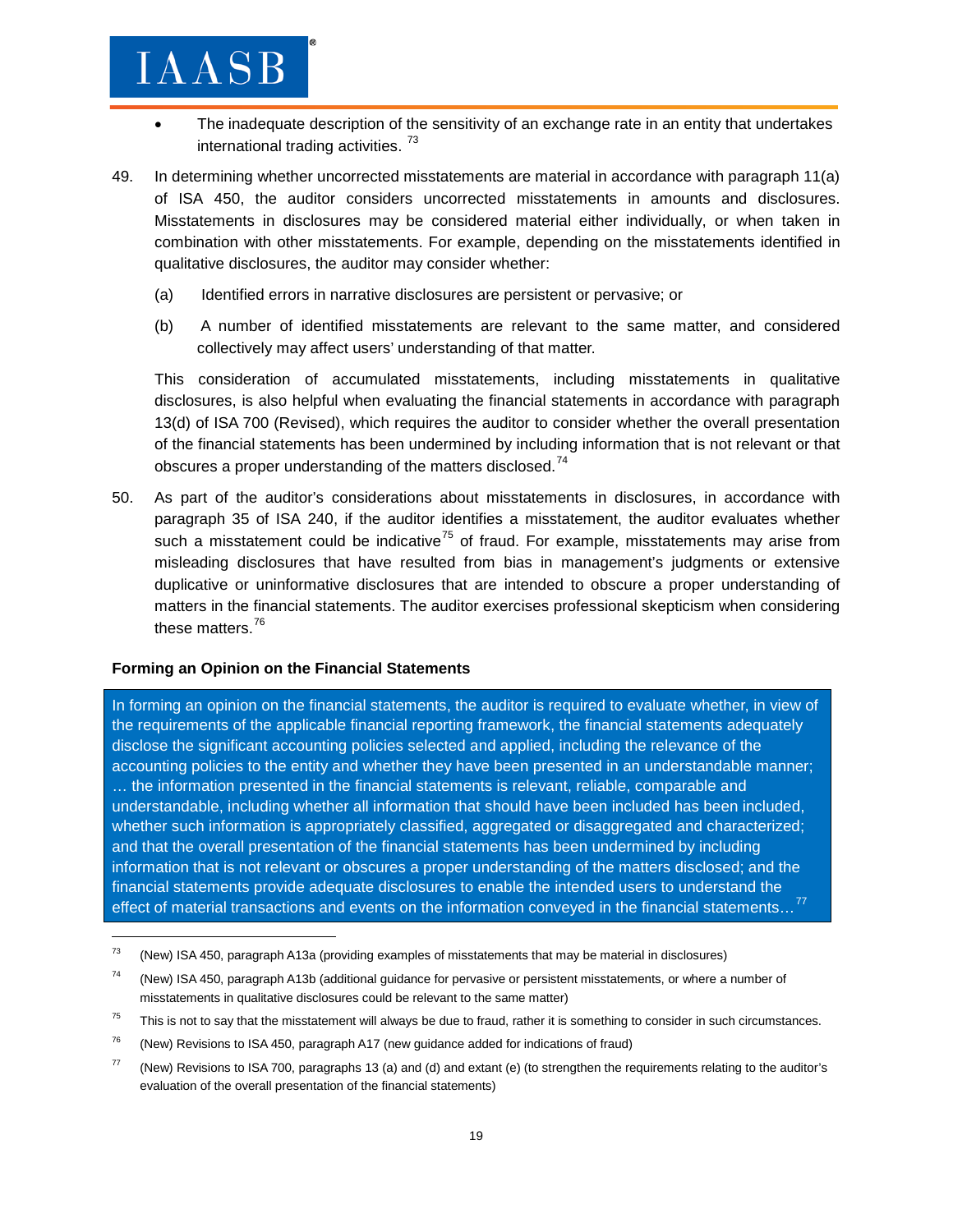- The inadequate description of the sensitivity of an exchange rate in an entity that undertakes international trading activities.<sup>[73](#page-18-0)</sup>
- 49. In determining whether uncorrected misstatements are material in accordance with paragraph 11(a) of ISA 450, the auditor considers uncorrected misstatements in amounts and disclosures. Misstatements in disclosures may be considered material either individually, or when taken in combination with other misstatements. For example, depending on the misstatements identified in qualitative disclosures, the auditor may consider whether:
	- (a) Identified errors in narrative disclosures are persistent or pervasive; or
	- (b) A number of identified misstatements are relevant to the same matter, and considered collectively may affect users' understanding of that matter.

This consideration of accumulated misstatements, including misstatements in qualitative disclosures, is also helpful when evaluating the financial statements in accordance with paragraph 13(d) of ISA 700 (Revised), which requires the auditor to consider whether the overall presentation of the financial statements has been undermined by including information that is not relevant or that obscures a proper understanding of the matters disclosed.<sup>[74](#page-18-1)</sup>

50. As part of the auditor's considerations about misstatements in disclosures, in accordance with paragraph 35 of ISA 240, if the auditor identifies a misstatement, the auditor evaluates whether such a misstatement could be indicative<sup>[75](#page-18-2)</sup> of fraud. For example, misstatements may arise from misleading disclosures that have resulted from bias in management's judgments or extensive duplicative or uninformative disclosures that are intended to obscure a proper understanding of matters in the financial statements. The auditor exercises professional skepticism when considering these matters.<sup>[76](#page-18-3)</sup>

#### **Forming an Opinion on the Financial Statements**

 $\overline{\phantom{a}}$ 

In forming an opinion on the financial statements, the auditor is required to evaluate whether, in view of the requirements of the applicable financial reporting framework, the financial statements adequately disclose the significant accounting policies selected and applied, including the relevance of the accounting policies to the entity and whether they have been presented in an understandable manner; … the information presented in the financial statements is relevant, reliable, comparable and understandable, including whether all information that should have been included has been included, whether such information is appropriately classified, aggregated or disaggregated and characterized; and that the overall presentation of the financial statements has been undermined by including information that is not relevant or obscures a proper understanding of the matters disclosed; and the financial statements provide adequate disclosures to enable the intended users to understand the effect of material transactions and events on the information conveyed in the financial statements...<sup>[77](#page-18-4)</sup>

<span id="page-18-3"></span> $76$  (New) Revisions to ISA 450, paragraph A17 (new guidance added for indications of fraud)

<span id="page-18-0"></span> $73$  (New) ISA 450, paragraph A13a (providing examples of misstatements that may be material in disclosures)

<span id="page-18-1"></span> $74$  (New) ISA 450, paragraph A13b (additional guidance for pervasive or persistent misstatements, or where a number of misstatements in qualitative disclosures could be relevant to the same matter)

<span id="page-18-2"></span> $75$  This is not to say that the misstatement will always be due to fraud, rather it is something to consider in such circumstances.

<span id="page-18-4"></span> $77$  (New) Revisions to ISA 700, paragraphs 13 (a) and (d) and extant (e) (to strengthen the requirements relating to the auditor's evaluation of the overall presentation of the financial statements)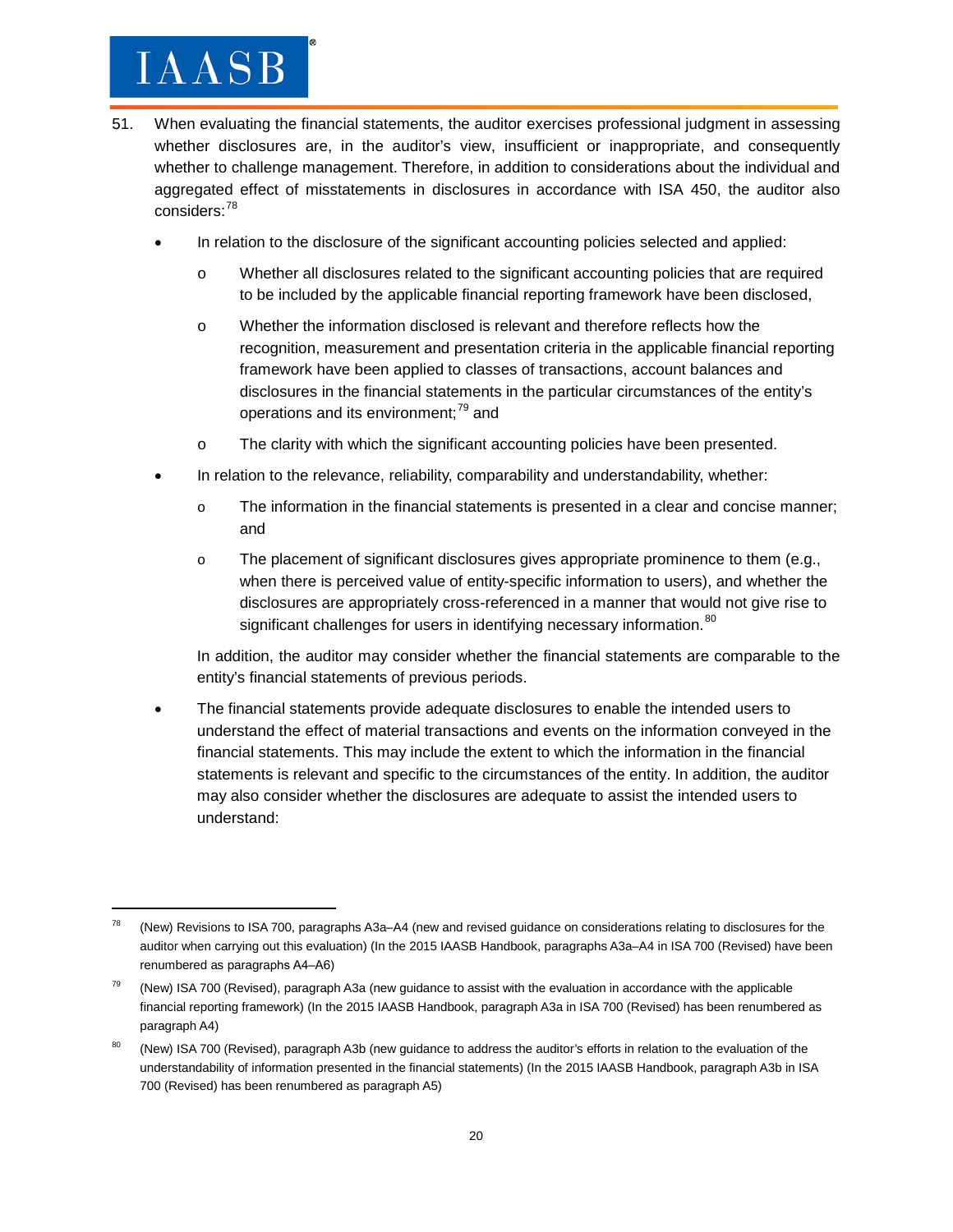$\overline{\phantom{a}}$ 

- 51. When evaluating the financial statements, the auditor exercises professional judgment in assessing whether disclosures are, in the auditor's view, insufficient or inappropriate, and consequently whether to challenge management. Therefore, in addition to considerations about the individual and aggregated effect of misstatements in disclosures in accordance with ISA 450, the auditor also considers:<sup>[78](#page-19-0)</sup>
	- In relation to the disclosure of the significant accounting policies selected and applied:
		- o Whether all disclosures related to the significant accounting policies that are required to be included by the applicable financial reporting framework have been disclosed,
		- o Whether the information disclosed is relevant and therefore reflects how the recognition, measurement and presentation criteria in the applicable financial reporting framework have been applied to classes of transactions, account balances and disclosures in the financial statements in the particular circumstances of the entity's operations and its environment;<sup>[79](#page-19-1)</sup> and
		- o The clarity with which the significant accounting policies have been presented.
	- In relation to the relevance, reliability, comparability and understandability, whether:
		- o The information in the financial statements is presented in a clear and concise manner; and
		- o The placement of significant disclosures gives appropriate prominence to them (e.g., when there is perceived value of entity-specific information to users), and whether the disclosures are appropriately cross-referenced in a manner that would not give rise to significant challenges for users in identifying necessary information. <sup>[80](#page-19-2)</sup>

In addition, the auditor may consider whether the financial statements are comparable to the entity's financial statements of previous periods.

• The financial statements provide adequate disclosures to enable the intended users to understand the effect of material transactions and events on the information conveyed in the financial statements. This may include the extent to which the information in the financial statements is relevant and specific to the circumstances of the entity. In addition, the auditor may also consider whether the disclosures are adequate to assist the intended users to understand:

<span id="page-19-0"></span><sup>78</sup> (New) Revisions to ISA 700, paragraphs A3a–A4 (new and revised guidance on considerations relating to disclosures for the auditor when carrying out this evaluation) (In the 2015 IAASB Handbook, paragraphs A3a–A4 in ISA 700 (Revised) have been renumbered as paragraphs A4‒A6)

<span id="page-19-1"></span> $79$  (New) ISA 700 (Revised), paragraph A3a (new guidance to assist with the evaluation in accordance with the applicable financial reporting framework) (In the 2015 IAASB Handbook, paragraph A3a in ISA 700 (Revised) has been renumbered as paragraph A4)

<span id="page-19-2"></span><sup>&</sup>lt;sup>80</sup> (New) ISA 700 (Revised), paragraph A3b (new guidance to address the auditor's efforts in relation to the evaluation of the understandability of information presented in the financial statements) (In the 2015 IAASB Handbook, paragraph A3b in ISA 700 (Revised) has been renumbered as paragraph A5)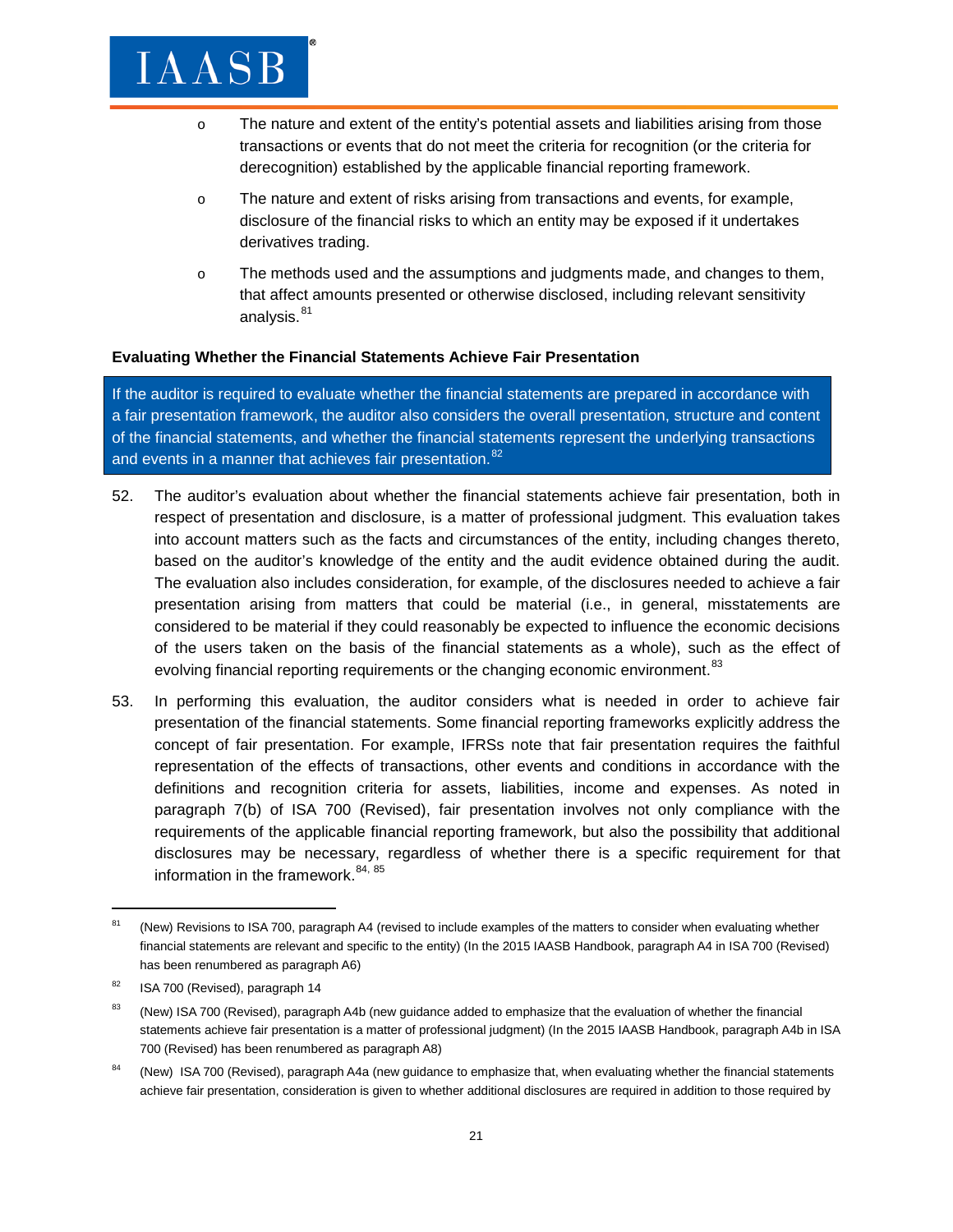- o The nature and extent of the entity's potential assets and liabilities arising from those transactions or events that do not meet the criteria for recognition (or the criteria for derecognition) established by the applicable financial reporting framework.
- o The nature and extent of risks arising from transactions and events, for example, disclosure of the financial risks to which an entity may be exposed if it undertakes derivatives trading.
- o The methods used and the assumptions and judgments made, and changes to them, that affect amounts presented or otherwise disclosed, including relevant sensitivity analysis.<sup>[81](#page-20-0)</sup>

#### **Evaluating Whether the Financial Statements Achieve Fair Presentation**

If the auditor is required to evaluate whether the financial statements are prepared in accordance with a fair presentation framework, the auditor also considers the overall presentation, structure and content of the financial statements, and whether the financial statements represent the underlying transactions and events in a manner that achieves fair presentation.<sup>[82](#page-20-1)</sup>

- 52. The auditor's evaluation about whether the financial statements achieve fair presentation, both in respect of presentation and disclosure, is a matter of professional judgment. This evaluation takes into account matters such as the facts and circumstances of the entity, including changes thereto, based on the auditor's knowledge of the entity and the audit evidence obtained during the audit. The evaluation also includes consideration, for example, of the disclosures needed to achieve a fair presentation arising from matters that could be material (i.e., in general, misstatements are considered to be material if they could reasonably be expected to influence the economic decisions of the users taken on the basis of the financial statements as a whole), such as the effect of evolving financial reporting requirements or the changing economic environment.<sup>[83](#page-20-2)</sup>
- 53. In performing this evaluation, the auditor considers what is needed in order to achieve fair presentation of the financial statements. Some financial reporting frameworks explicitly address the concept of fair presentation. For example, IFRSs note that fair presentation requires the faithful representation of the effects of transactions, other events and conditions in accordance with the definitions and recognition criteria for assets, liabilities, income and expenses. As noted in paragraph 7(b) of ISA 700 (Revised), fair presentation involves not only compliance with the requirements of the applicable financial reporting framework, but also the possibility that additional disclosures may be necessary, regardless of whether there is a specific requirement for that information in the framework.<sup>[84](#page-20-3), [85](#page-20-4)</sup>

<span id="page-20-4"></span><span id="page-20-0"></span><sup>&</sup>lt;sup>81</sup> (New) Revisions to ISA 700, paragraph A4 (revised to include examples of the matters to consider when evaluating whether financial statements are relevant and specific to the entity) (In the 2015 IAASB Handbook, paragraph A4 in ISA 700 (Revised) has been renumbered as paragraph A6)

<span id="page-20-1"></span><sup>&</sup>lt;sup>82</sup> ISA 700 (Revised), paragraph 14

<span id="page-20-2"></span><sup>&</sup>lt;sup>83</sup> (New) ISA 700 (Revised), paragraph A4b (new guidance added to emphasize that the evaluation of whether the financial statements achieve fair presentation is a matter of professional judgment) (In the 2015 IAASB Handbook, paragraph A4b in ISA 700 (Revised) has been renumbered as paragraph A8)

<span id="page-20-3"></span><sup>&</sup>lt;sup>84</sup> (New) ISA 700 (Revised), paragraph A4a (new guidance to emphasize that, when evaluating whether the financial statements achieve fair presentation, consideration is given to whether additional disclosures are required in addition to those required by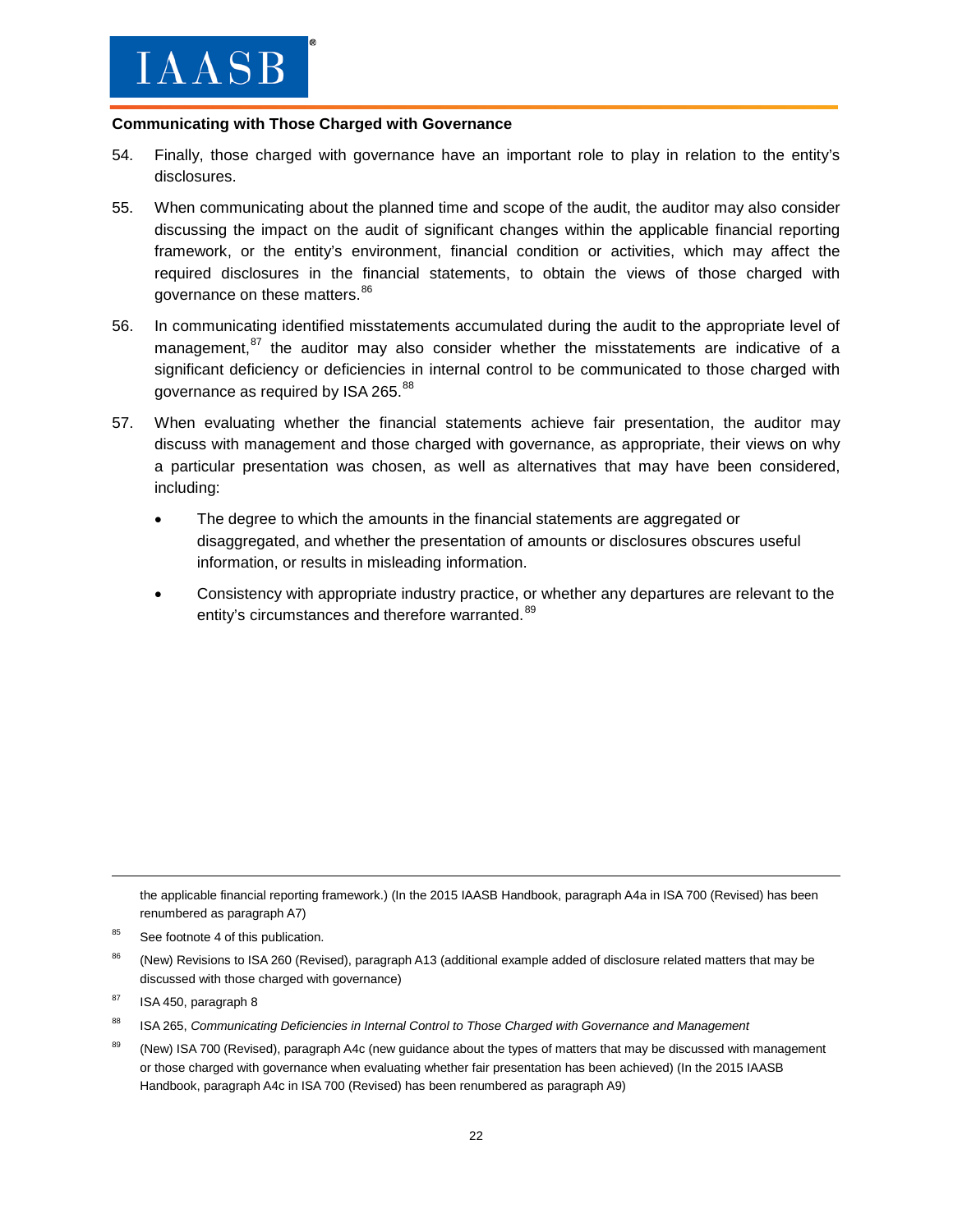#### **Communicating with Those Charged with Governance**

- 54. Finally, those charged with governance have an important role to play in relation to the entity's disclosures.
- 55. When communicating about the planned time and scope of the audit, the auditor may also consider discussing the impact on the audit of significant changes within the applicable financial reporting framework, or the entity's environment, financial condition or activities, which may affect the required disclosures in the financial statements, to obtain the views of those charged with governance on these matters.[86](#page-21-0)
- 56. In communicating identified misstatements accumulated during the audit to the appropriate level of management,<sup>[87](#page-21-1)</sup> the auditor may also consider whether the misstatements are indicative of a significant deficiency or deficiencies in internal control to be communicated to those charged with governance as required by ISA 265.<sup>[88](#page-21-2)</sup>
- 57. When evaluating whether the financial statements achieve fair presentation, the auditor may discuss with management and those charged with governance, as appropriate, their views on why a particular presentation was chosen, as well as alternatives that may have been considered, including:
	- The degree to which the amounts in the financial statements are aggregated or disaggregated, and whether the presentation of amounts or disclosures obscures useful information, or results in misleading information.
	- Consistency with appropriate industry practice, or whether any departures are relevant to the entity's circumstances and therefore warranted.<sup>[89](#page-21-3)</sup>

the applicable financial reporting framework.) (In the 2015 IAASB Handbook, paragraph A4a in ISA 700 (Revised) has been renumbered as paragraph A7)

- <span id="page-21-2"></span><sup>88</sup> ISA 265, *Communicating Deficiencies in Internal Control to Those Charged with Governance and Management*
- <span id="page-21-3"></span><sup>89</sup> (New) ISA 700 (Revised), paragraph A4c (new guidance about the types of matters that may be discussed with management or those charged with governance when evaluating whether fair presentation has been achieved) (In the 2015 IAASB Handbook, paragraph A4c in ISA 700 (Revised) has been renumbered as paragraph A9)

<sup>&</sup>lt;sup>85</sup> See footnote 4 of this publication.

<span id="page-21-0"></span><sup>(</sup>New) Revisions to ISA 260 (Revised), paragraph A13 (additional example added of disclosure related matters that may be discussed with those charged with governance)

<span id="page-21-1"></span> $87$  ISA 450, paragraph 8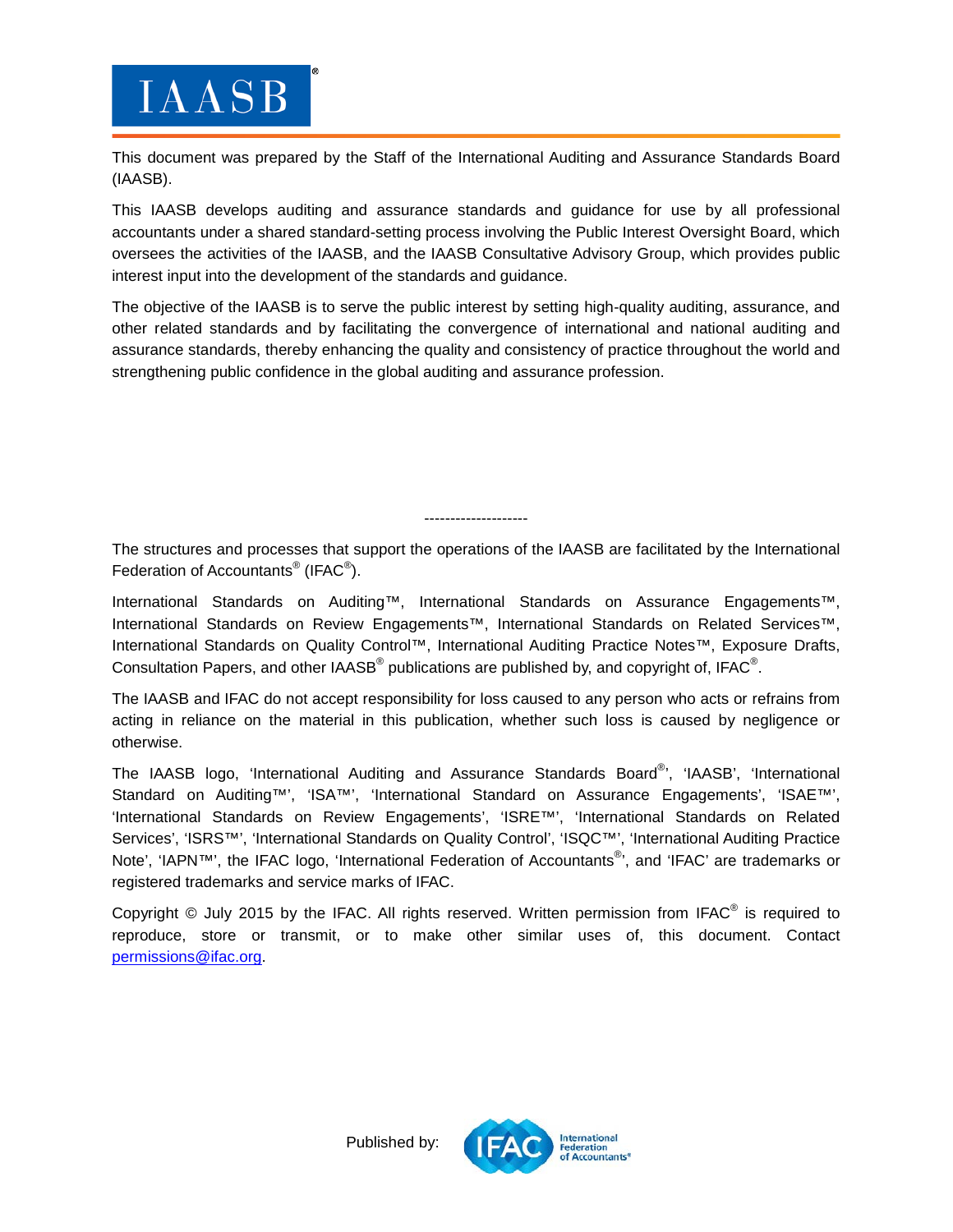

This document was prepared by the Staff of the International Auditing and Assurance Standards Board (IAASB).

This IAASB develops auditing and assurance standards and guidance for use by all professional accountants under a shared standard-setting process involving the Public Interest Oversight Board, which oversees the activities of the IAASB, and the IAASB Consultative Advisory Group, which provides public interest input into the development of the standards and guidance.

The objective of the IAASB is to serve the public interest by setting high-quality auditing, assurance, and other related standards and by facilitating the convergence of international and national auditing and assurance standards, thereby enhancing the quality and consistency of practice throughout the world and strengthening public confidence in the global auditing and assurance profession.

--------------------

The structures and processes that support the operations of the IAASB are facilitated by the International Federation of Accountants $^{\circledR}$  (IFAC $^{\circledR}$ ).

International Standards on Auditing™, International Standards on Assurance Engagements™, International Standards on Review Engagements™, International Standards on Related Services™, International Standards on Quality Control™, International Auditing Practice Notes™, Exposure Drafts, Consultation Papers, and other IAASB $^{\circ}$  publications are published by, and copyright of, IFAC $^{\circ}$ .

The IAASB and IFAC do not accept responsibility for loss caused to any person who acts or refrains from acting in reliance on the material in this publication, whether such loss is caused by negligence or otherwise.

The IAASB logo, 'International Auditing and Assurance Standards Board®', 'IAASB', 'International Standard on Auditing™', 'ISA™', 'International Standard on Assurance Engagements', 'ISAE™', 'International Standards on Review Engagements', 'ISRE™', 'International Standards on Related Services', 'ISRS™', 'International Standards on Quality Control', 'ISQC™', 'International Auditing Practice Note', 'IAPN™', the IFAC logo, 'International Federation of Accountants<sup>®</sup>', and 'IFAC' are trademarks or registered trademarks and service marks of IFAC.

Copyright  $\odot$  July 2015 by the IFAC. All rights reserved. Written permission from IFAC $\odot$  is required to reproduce, store or transmit, or to make other similar uses of, this document. Contact permissions@ifac.org.